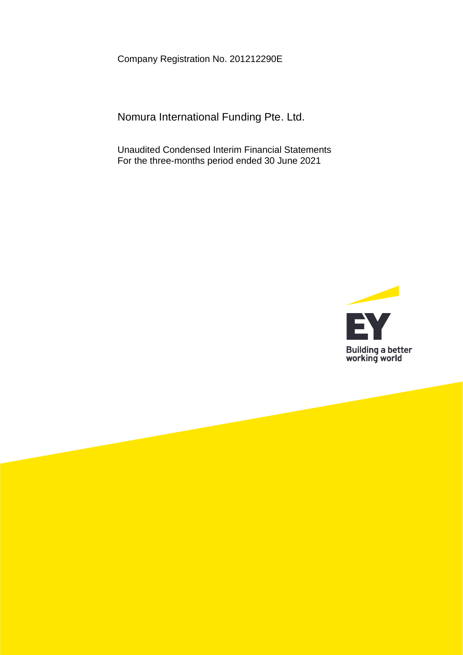Company Registration No. 201212290E

Nomura International Funding Pte. Ltd.

Unaudited Condensed Interim Financial Statements For the three-months period ended 30 June 2021

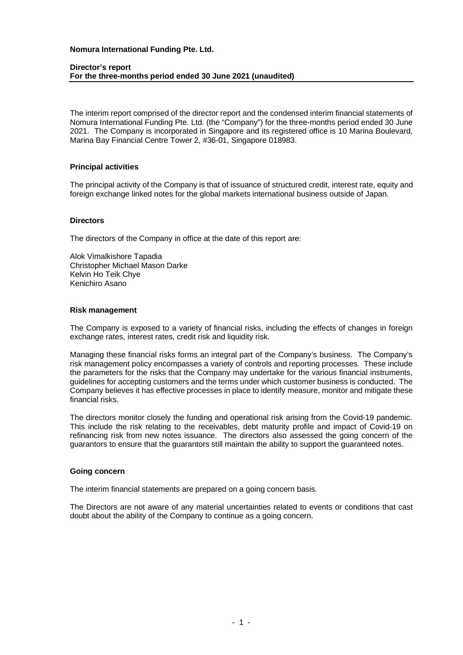#### **Director's report For the three-months period ended 30 June 2021 (unaudited)**

The interim report comprised of the director report and the condensed interim financial statements of Nomura International Funding Pte. Ltd. (the "Company") for the three-months period ended 30 June 2021. The Company is incorporated in Singapore and its registered office is 10 Marina Boulevard, Marina Bay Financial Centre Tower 2, #36-01, Singapore 018983.

#### **Principal activities**

The principal activity of the Company is that of issuance of structured credit, interest rate, equity and foreign exchange linked notes for the global markets international business outside of Japan.

## **Directors**

The directors of the Company in office at the date of this report are:

Alok Vimalkishore Tapadia Christopher Michael Mason Darke Kelvin Ho Teik Chye Kenichiro Asano

# **Risk management**

The Company is exposed to a variety of financial risks, including the effects of changes in foreign exchange rates, interest rates, credit risk and liquidity risk.

Managing these financial risks forms an integral part of the Company's business. The Company's risk management policy encompasses a variety of controls and reporting processes. These include the parameters for the risks that the Company may undertake for the various financial instruments, guidelines for accepting customers and the terms under which customer business is conducted. The Company believes it has effective processes in place to identify measure, monitor and mitigate these financial risks.

The directors monitor closely the funding and operational risk arising from the Covid-19 pandemic. This include the risk relating to the receivables, debt maturity profile and impact of Covid-19 on refinancing risk from new notes issuance. The directors also assessed the going concern of the guarantors to ensure that the guarantors still maintain the ability to support the guaranteed notes.

#### **Going concern**

The interim financial statements are prepared on a going concern basis.

The Directors are not aware of any material uncertainties related to events or conditions that cast doubt about the ability of the Company to continue as a going concern.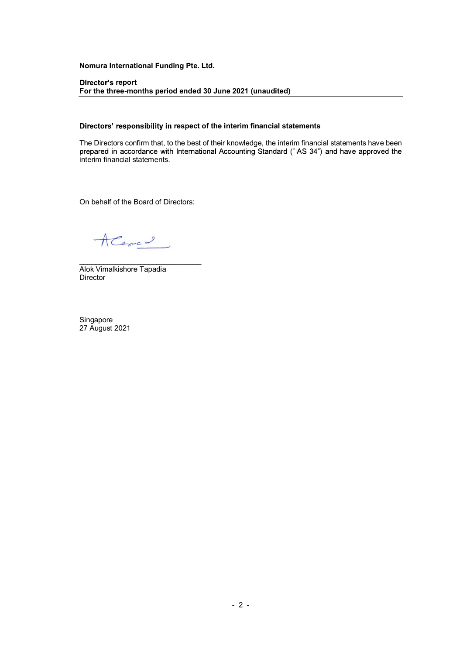#### Director's report For the three-months period ended 30 June 2021 (unaudited)

### Directors' responsibility in respect of the interim financial statements

The Directors confirm that, to the best of their knowledge, the interim financial statements have been prepared in accordance with International Accounting Standard ("IAS 34") and have approved the interim financial statements.

On behalf of the Board of Directors:<br> $\sqrt{2\pi}$ <br>Alok Vimalkishore Tapadia

Director

Singapore 27 August 2021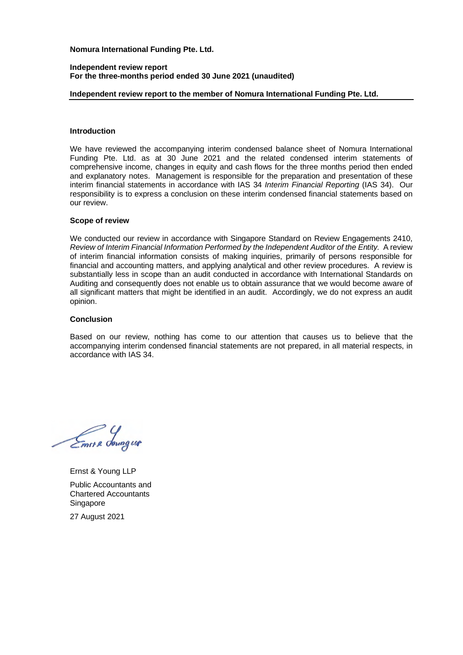#### **Independent review report For the three-months period ended 30 June 2021 (unaudited)**

## **Independent review report to the member of Nomura International Funding Pte. Ltd.**

### **Introduction**

We have reviewed the accompanying interim condensed balance sheet of Nomura International Funding Pte. Ltd. as at 30 June 2021 and the related condensed interim statements of comprehensive income, changes in equity and cash flows for the three months period then ended and explanatory notes. Management is responsible for the preparation and presentation of these interim financial statements in accordance with IAS 34 *Interim Financial Reporting* (IAS 34). Our responsibility is to express a conclusion on these interim condensed financial statements based on our review.

#### **Scope of review**

We conducted our review in accordance with Singapore Standard on Review Engagements 2410, *Review of Interim Financial Information Performed by the Independent Auditor of the Entity.* A review of interim financial information consists of making inquiries, primarily of persons responsible for financial and accounting matters, and applying analytical and other review procedures. A review is substantially less in scope than an audit conducted in accordance with International Standards on Auditing and consequently does not enable us to obtain assurance that we would become aware of all significant matters that might be identified in an audit. Accordingly, we do not express an audit opinion.

### **Conclusion**

Based on our review, nothing has come to our attention that causes us to believe that the accompanying interim condensed financial statements are not prepared, in all material respects, in accordance with IAS 34.

Emer & Soungur

Ernst & Young LLP Public Accountants and Chartered Accountants Singapore

27 August 2021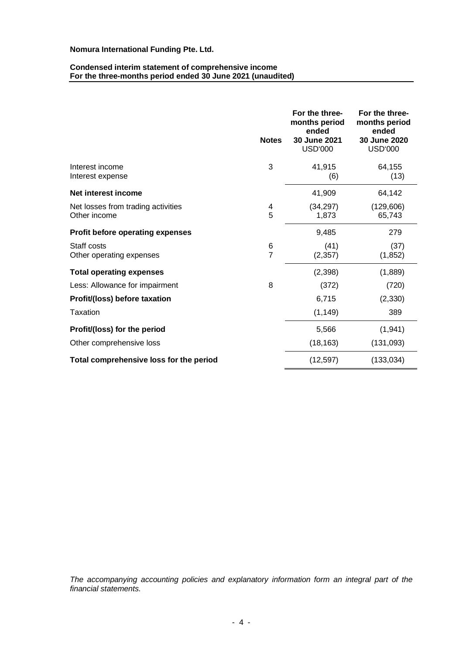#### **Condensed interim statement of comprehensive income For the three-months period ended 30 June 2021 (unaudited)**

|                                                    | <b>Notes</b>        | For the three-<br>months period<br>ended<br>30 June 2021<br><b>USD'000</b> | For the three-<br>months period<br>ended<br>30 June 2020<br><b>USD'000</b> |
|----------------------------------------------------|---------------------|----------------------------------------------------------------------------|----------------------------------------------------------------------------|
| Interest income<br>Interest expense                | 3                   | 41,915<br>(6)                                                              | 64,155<br>(13)                                                             |
| Net interest income                                |                     | 41,909                                                                     | 64,142                                                                     |
| Net losses from trading activities<br>Other income | 4<br>5              | (34, 297)<br>1,873                                                         | (129, 606)<br>65,743                                                       |
| <b>Profit before operating expenses</b>            |                     | 9,485                                                                      | 279                                                                        |
| Staff costs<br>Other operating expenses            | 6<br>$\overline{7}$ | (41)<br>(2, 357)                                                           | (37)<br>(1, 852)                                                           |
| <b>Total operating expenses</b>                    |                     | (2,398)                                                                    | (1,889)                                                                    |
| Less: Allowance for impairment                     | 8                   | (372)                                                                      | (720)                                                                      |
| Profit/(loss) before taxation                      |                     | 6,715                                                                      | (2, 330)                                                                   |
| Taxation                                           |                     | (1, 149)                                                                   | 389                                                                        |
| Profit/(loss) for the period                       |                     | 5,566                                                                      | (1, 941)                                                                   |
| Other comprehensive loss                           |                     | (18, 163)                                                                  | (131, 093)                                                                 |
| Total comprehensive loss for the period            |                     | (12, 597)                                                                  | (133, 034)                                                                 |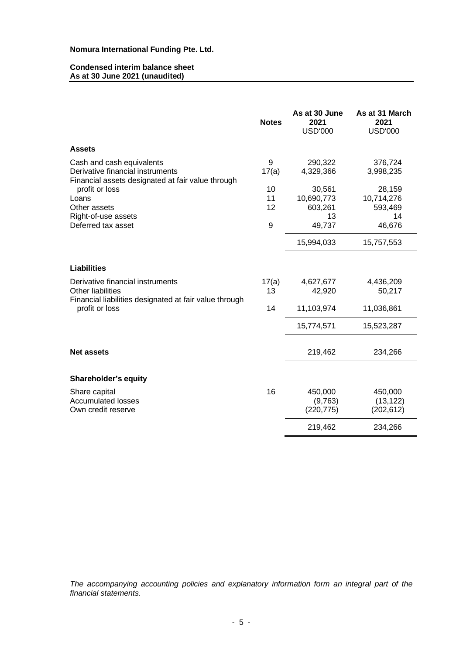#### **Condensed interim balance sheet As at 30 June 2021 (unaudited)**

|                                                                                                                    | <b>Notes</b> | As at 30 June<br>2021<br><b>USD'000</b> | As at 31 March<br>2021<br><b>USD'000</b> |
|--------------------------------------------------------------------------------------------------------------------|--------------|-----------------------------------------|------------------------------------------|
| <b>Assets</b>                                                                                                      |              |                                         |                                          |
| Cash and cash equivalents<br>Derivative financial instruments<br>Financial assets designated at fair value through | 9<br>17(a)   | 290,322<br>4,329,366                    | 376,724<br>3,998,235                     |
| profit or loss<br>Loans                                                                                            | 10<br>11     | 30,561                                  | 28,159                                   |
| Other assets<br>Right-of-use assets                                                                                | 12           | 10,690,773<br>603,261<br>13             | 10,714,276<br>593,469<br>14              |
| Deferred tax asset                                                                                                 | 9            | 49,737                                  | 46,676                                   |
|                                                                                                                    |              | 15,994,033                              | 15,757,553                               |
| <b>Liabilities</b>                                                                                                 |              |                                         |                                          |
| Derivative financial instruments<br><b>Other liabilities</b>                                                       | 17(a)<br>13  | 4,627,677<br>42,920                     | 4,436,209<br>50,217                      |
| Financial liabilities designated at fair value through<br>profit or loss                                           | 14           | 11,103,974                              | 11,036,861                               |
|                                                                                                                    |              | 15,774,571                              | 15,523,287                               |
| <b>Net assets</b>                                                                                                  |              | 219,462                                 | 234,266                                  |
|                                                                                                                    |              |                                         |                                          |
| Shareholder's equity                                                                                               |              |                                         |                                          |
| Share capital<br><b>Accumulated losses</b><br>Own credit reserve                                                   | 16           | 450,000<br>(9,763)<br>(220, 775)        | 450,000<br>(13, 122)<br>(202, 612)       |
|                                                                                                                    |              | 219,462                                 | 234,266                                  |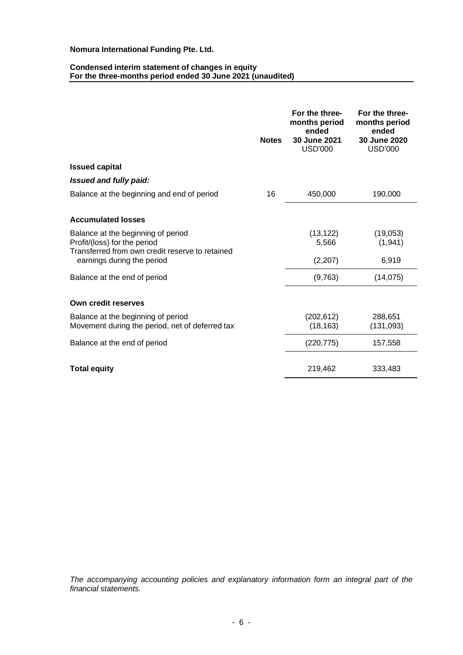### **Condensed interim statement of changes in equity For the three-months period ended 30 June 2021 (unaudited)**

|                                                                                                                       | <b>Notes</b> | For the three-<br>months period<br>ended<br>30 June 2021<br><b>USD'000</b> | For the three-<br>months period<br>ended<br>30 June 2020<br><b>USD'000</b> |
|-----------------------------------------------------------------------------------------------------------------------|--------------|----------------------------------------------------------------------------|----------------------------------------------------------------------------|
| <b>Issued capital</b>                                                                                                 |              |                                                                            |                                                                            |
| Issued and fully paid:                                                                                                |              |                                                                            |                                                                            |
| Balance at the beginning and end of period                                                                            | 16           | 450,000                                                                    | 190,000                                                                    |
| <b>Accumulated losses</b>                                                                                             |              |                                                                            |                                                                            |
| Balance at the beginning of period<br>Profit/(loss) for the period<br>Transferred from own credit reserve to retained |              | (13, 122)<br>5,566                                                         | (19,053)<br>(1,941)                                                        |
| earnings during the period                                                                                            |              | (2, 207)                                                                   | 6,919                                                                      |
| Balance at the end of period                                                                                          |              | (9,763)                                                                    | (14, 075)                                                                  |
| Own credit reserves                                                                                                   |              |                                                                            |                                                                            |
| Balance at the beginning of period<br>Movement during the period, net of deferred tax                                 |              | (202, 612)<br>(18, 163)                                                    | 288,651<br>(131,093)                                                       |
| Balance at the end of period                                                                                          |              | (220, 775)                                                                 | 157,558                                                                    |
| <b>Total equity</b>                                                                                                   |              | 219,462                                                                    | 333,483                                                                    |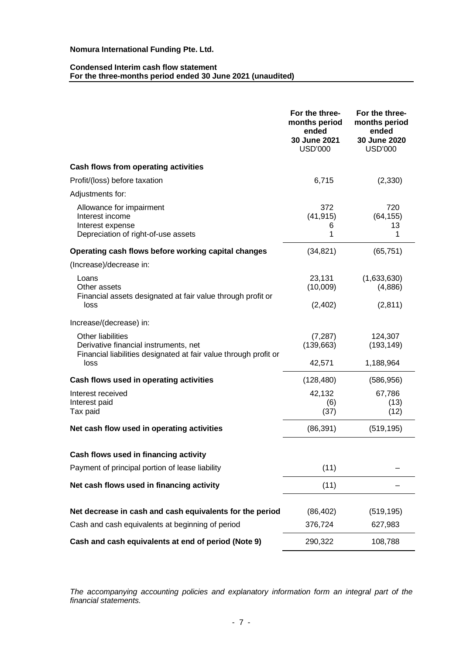# **Condensed Interim cash flow statement For the three-months period ended 30 June 2021 (unaudited)**

|                                                                                                                                       | For the three-<br>months period<br>ended<br>30 June 2021<br><b>USD'000</b> | For the three-<br>months period<br>ended<br>30 June 2020<br><b>USD'000</b> |
|---------------------------------------------------------------------------------------------------------------------------------------|----------------------------------------------------------------------------|----------------------------------------------------------------------------|
| Cash flows from operating activities                                                                                                  |                                                                            |                                                                            |
| Profit/(loss) before taxation                                                                                                         | 6,715                                                                      | (2, 330)                                                                   |
| Adjustments for:                                                                                                                      |                                                                            |                                                                            |
| Allowance for impairment<br>Interest income<br>Interest expense<br>Depreciation of right-of-use assets                                | 372<br>(41, 915)<br>6<br>1                                                 | 720<br>(64, 155)<br>13<br>1                                                |
| Operating cash flows before working capital changes                                                                                   | (34, 821)                                                                  | (65, 751)                                                                  |
| (Increase)/decrease in:                                                                                                               |                                                                            |                                                                            |
| Loans<br>Other assets<br>Financial assets designated at fair value through profit or                                                  | 23,131<br>(10,009)                                                         | (1,633,630)<br>(4,886)                                                     |
| loss                                                                                                                                  | (2, 402)                                                                   | (2,811)                                                                    |
| Increase/(decrease) in:                                                                                                               |                                                                            |                                                                            |
| <b>Other liabilities</b><br>Derivative financial instruments, net<br>Financial liabilities designated at fair value through profit or | (7, 287)<br>(139, 663)                                                     | 124,307<br>(193, 149)                                                      |
| loss                                                                                                                                  | 42,571                                                                     | 1,188,964                                                                  |
| Cash flows used in operating activities                                                                                               | (128, 480)                                                                 | (586, 956)                                                                 |
| Interest received<br>Interest paid<br>Tax paid                                                                                        | 42,132<br>(6)<br>(37)                                                      | 67,786<br>(13)<br>(12)                                                     |
| Net cash flow used in operating activities                                                                                            | (86, 391)                                                                  | (519, 195)                                                                 |
| Cash flows used in financing activity                                                                                                 |                                                                            |                                                                            |
| Payment of principal portion of lease liability                                                                                       | (11)                                                                       |                                                                            |
| Net cash flows used in financing activity                                                                                             | (11)                                                                       |                                                                            |
|                                                                                                                                       |                                                                            |                                                                            |
| Net decrease in cash and cash equivalents for the period                                                                              | (86, 402)                                                                  | (519, 195)                                                                 |
| Cash and cash equivalents at beginning of period                                                                                      | 376,724                                                                    | 627,983                                                                    |
| Cash and cash equivalents at end of period (Note 9)                                                                                   | 290,322                                                                    | 108,788                                                                    |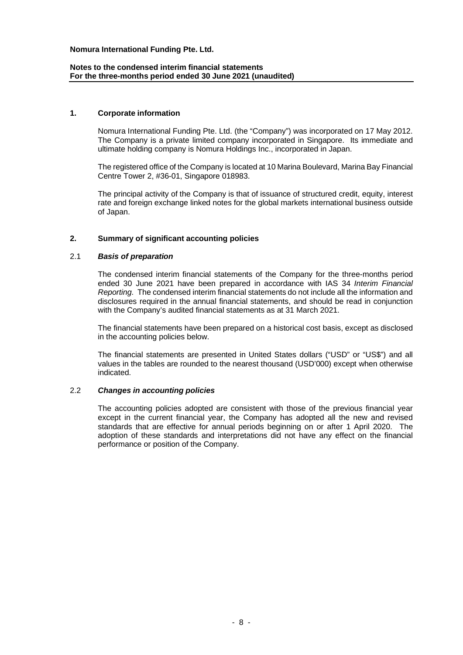## **Notes to the condensed interim financial statements For the three-months period ended 30 June 2021 (unaudited)**

### **1. Corporate information**

Nomura International Funding Pte. Ltd. (the "Company") was incorporated on 17 May 2012. The Company is a private limited company incorporated in Singapore. Its immediate and ultimate holding company is Nomura Holdings Inc., incorporated in Japan.

The registered office of the Company is located at 10 Marina Boulevard, Marina Bay Financial Centre Tower 2, #36-01, Singapore 018983.

The principal activity of the Company is that of issuance of structured credit, equity, interest rate and foreign exchange linked notes for the global markets international business outside of Japan.

## **2. Summary of significant accounting policies**

#### 2.1 *Basis of preparation*

The condensed interim financial statements of the Company for the three-months period ended 30 June 2021 have been prepared in accordance with IAS 34 *Interim Financial Reporting*. The condensed interim financial statements do not include all the information and disclosures required in the annual financial statements, and should be read in conjunction with the Company's audited financial statements as at 31 March 2021.

The financial statements have been prepared on a historical cost basis, except as disclosed in the accounting policies below.

The financial statements are presented in United States dollars ("USD" or "US\$") and all values in the tables are rounded to the nearest thousand (USD'000) except when otherwise indicated.

#### 2.2 *Changes in accounting policies*

The accounting policies adopted are consistent with those of the previous financial year except in the current financial year, the Company has adopted all the new and revised standards that are effective for annual periods beginning on or after 1 April 2020. The adoption of these standards and interpretations did not have any effect on the financial performance or position of the Company.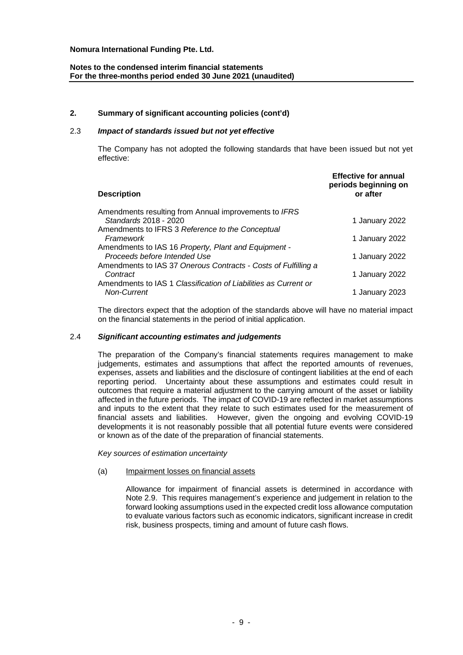# **Notes to the condensed interim financial statements For the three-months period ended 30 June 2021 (unaudited)**

# **2. Summary of significant accounting policies (cont'd)**

# 2.3 *Impact of standards issued but not yet effective*

The Company has not adopted the following standards that have been issued but not yet effective:

| <b>Description</b>                                                             | <b>Effective for annual</b><br>periods beginning on<br>or after |
|--------------------------------------------------------------------------------|-----------------------------------------------------------------|
| Amendments resulting from Annual improvements to IFRS<br>Standards 2018 - 2020 |                                                                 |
| Amendments to IFRS 3 Reference to the Conceptual                               | 1 January 2022                                                  |
| Framework                                                                      | 1 January 2022                                                  |
| Amendments to IAS 16 Property, Plant and Equipment -                           |                                                                 |
| Proceeds before Intended Use                                                   | 1 January 2022                                                  |
| Amendments to IAS 37 Onerous Contracts - Costs of Fulfilling a<br>Contract     | 1 January 2022                                                  |
| Amendments to IAS 1 Classification of Liabilities as Current or                |                                                                 |
| <b>Non-Current</b>                                                             | 1 January 2023                                                  |

The directors expect that the adoption of the standards above will have no material impact on the financial statements in the period of initial application.

# 2.4 *Significant accounting estimates and judgements*

The preparation of the Company's financial statements requires management to make judgements, estimates and assumptions that affect the reported amounts of revenues, expenses, assets and liabilities and the disclosure of contingent liabilities at the end of each reporting period. Uncertainty about these assumptions and estimates could result in outcomes that require a material adjustment to the carrying amount of the asset or liability affected in the future periods. The impact of COVID-19 are reflected in market assumptions and inputs to the extent that they relate to such estimates used for the measurement of financial assets and liabilities. However, given the ongoing and evolving COVID-19 developments it is not reasonably possible that all potential future events were considered or known as of the date of the preparation of financial statements.

*Key sources of estimation uncertainty*

#### (a) Impairment losses on financial assets

Allowance for impairment of financial assets is determined in accordance with Note 2.9. This requires management's experience and judgement in relation to the forward looking assumptions used in the expected credit loss allowance computation to evaluate various factors such as economic indicators, significant increase in credit risk, business prospects, timing and amount of future cash flows.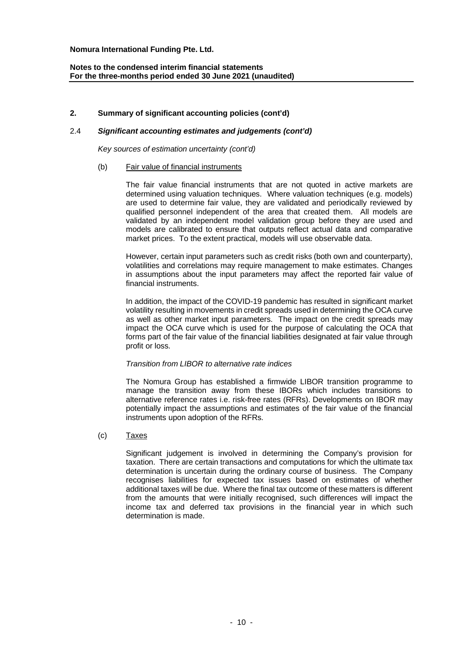# **Notes to the condensed interim financial statements For the three-months period ended 30 June 2021 (unaudited)**

# **2. Summary of significant accounting policies (cont'd)**

## 2.4 *Significant accounting estimates and judgements (cont'd)*

*Key sources of estimation uncertainty (cont'd)*

### (b) Fair value of financial instruments

The fair value financial instruments that are not quoted in active markets are determined using valuation techniques. Where valuation techniques (e.g. models) are used to determine fair value, they are validated and periodically reviewed by qualified personnel independent of the area that created them. All models are validated by an independent model validation group before they are used and models are calibrated to ensure that outputs reflect actual data and comparative market prices. To the extent practical, models will use observable data.

However, certain input parameters such as credit risks (both own and counterparty), volatilities and correlations may require management to make estimates. Changes in assumptions about the input parameters may affect the reported fair value of financial instruments.

In addition, the impact of the COVID-19 pandemic has resulted in significant market volatility resulting in movements in credit spreads used in determining the OCA curve as well as other market input parameters. The impact on the credit spreads may impact the OCA curve which is used for the purpose of calculating the OCA that forms part of the fair value of the financial liabilities designated at fair value through profit or loss.

#### *Transition from LIBOR to alternative rate indices*

The Nomura Group has established a firmwide LIBOR transition programme to manage the transition away from these IBORs which includes transitions to alternative reference rates i.e. risk-free rates (RFRs). Developments on IBOR may potentially impact the assumptions and estimates of the fair value of the financial instruments upon adoption of the RFRs.

#### (c) Taxes

Significant judgement is involved in determining the Company's provision for taxation. There are certain transactions and computations for which the ultimate tax determination is uncertain during the ordinary course of business. The Company recognises liabilities for expected tax issues based on estimates of whether additional taxes will be due. Where the final tax outcome of these matters is different from the amounts that were initially recognised, such differences will impact the income tax and deferred tax provisions in the financial year in which such determination is made.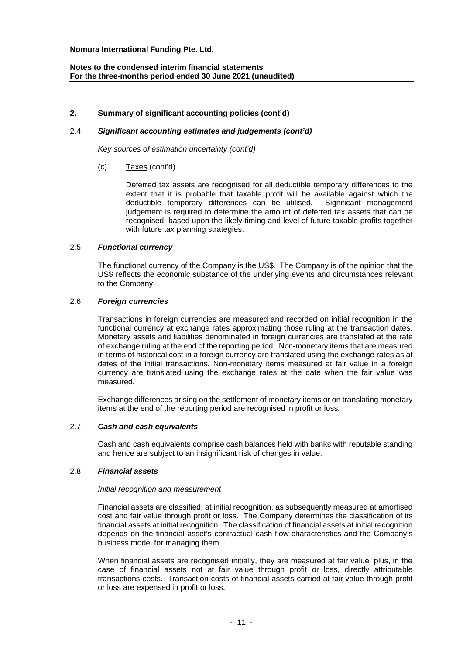# **Notes to the condensed interim financial statements For the three-months period ended 30 June 2021 (unaudited)**

## **2. Summary of significant accounting policies (cont'd)**

## 2.4 *Significant accounting estimates and judgements (cont'd)*

*Key sources of estimation uncertainty (cont'd)*

(c) Taxes (cont'd)

Deferred tax assets are recognised for all deductible temporary differences to the extent that it is probable that taxable profit will be available against which the deductible temporary differences can be utilised. Significant management judgement is required to determine the amount of deferred tax assets that can be recognised, based upon the likely timing and level of future taxable profits together with future tax planning strategies.

#### 2.5 *Functional currency*

The functional currency of the Company is the US\$. The Company is of the opinion that the US\$ reflects the economic substance of the underlying events and circumstances relevant to the Company.

#### 2.6 *Foreign currencies*

Transactions in foreign currencies are measured and recorded on initial recognition in the functional currency at exchange rates approximating those ruling at the transaction dates. Monetary assets and liabilities denominated in foreign currencies are translated at the rate of exchange ruling at the end of the reporting period. Non-monetary items that are measured in terms of historical cost in a foreign currency are translated using the exchange rates as at dates of the initial transactions. Non-monetary items measured at fair value in a foreign currency are translated using the exchange rates at the date when the fair value was measured.

Exchange differences arising on the settlement of monetary items or on translating monetary items at the end of the reporting period are recognised in profit or loss.

#### 2.7 *Cash and cash equivalents*

Cash and cash equivalents comprise cash balances held with banks with reputable standing and hence are subject to an insignificant risk of changes in value.

## 2.8 *Financial assets*

#### *Initial recognition and measurement*

Financial assets are classified, at initial recognition, as subsequently measured at amortised cost and fair value through profit or loss. The Company determines the classification of its financial assets at initial recognition. The classification of financial assets at initial recognition depends on the financial asset's contractual cash flow characteristics and the Company's business model for managing them.

When financial assets are recognised initially, they are measured at fair value, plus, in the case of financial assets not at fair value through profit or loss, directly attributable transactions costs. Transaction costs of financial assets carried at fair value through profit or loss are expensed in profit or loss.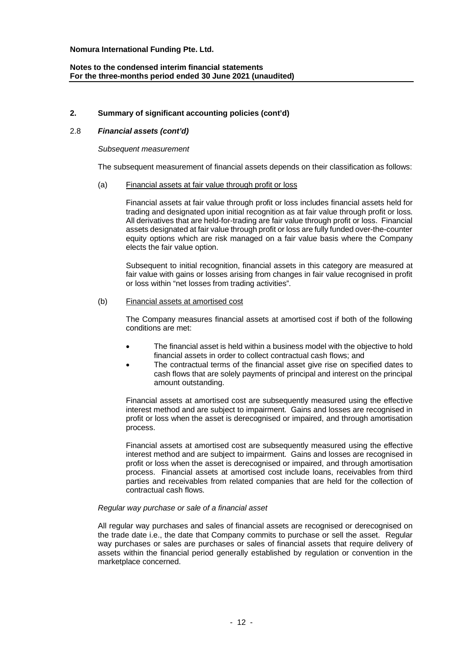# **Notes to the condensed interim financial statements For the three-months period ended 30 June 2021 (unaudited)**

# **2. Summary of significant accounting policies (cont'd)**

# 2.8 *Financial assets (cont'd)*

#### *Subsequent measurement*

The subsequent measurement of financial assets depends on their classification as follows:

#### (a) Financial assets at fair value through profit or loss

Financial assets at fair value through profit or loss includes financial assets held for trading and designated upon initial recognition as at fair value through profit or loss. All derivatives that are held-for-trading are fair value through profit or loss. Financial assets designated at fair value through profit or loss are fully funded over-the-counter equity options which are risk managed on a fair value basis where the Company elects the fair value option.

Subsequent to initial recognition, financial assets in this category are measured at fair value with gains or losses arising from changes in fair value recognised in profit or loss within "net losses from trading activities".

#### (b) Financial assets at amortised cost

The Company measures financial assets at amortised cost if both of the following conditions are met:

- The financial asset is held within a business model with the objective to hold financial assets in order to collect contractual cash flows; and
- The contractual terms of the financial asset give rise on specified dates to cash flows that are solely payments of principal and interest on the principal amount outstanding.

Financial assets at amortised cost are subsequently measured using the effective interest method and are subject to impairment. Gains and losses are recognised in profit or loss when the asset is derecognised or impaired, and through amortisation process.

Financial assets at amortised cost are subsequently measured using the effective interest method and are subject to impairment. Gains and losses are recognised in profit or loss when the asset is derecognised or impaired, and through amortisation process. Financial assets at amortised cost include loans, receivables from third parties and receivables from related companies that are held for the collection of contractual cash flows.

#### *Regular way purchase or sale of a financial asset*

All regular way purchases and sales of financial assets are recognised or derecognised on the trade date i.e., the date that Company commits to purchase or sell the asset. Regular way purchases or sales are purchases or sales of financial assets that require delivery of assets within the financial period generally established by regulation or convention in the marketplace concerned.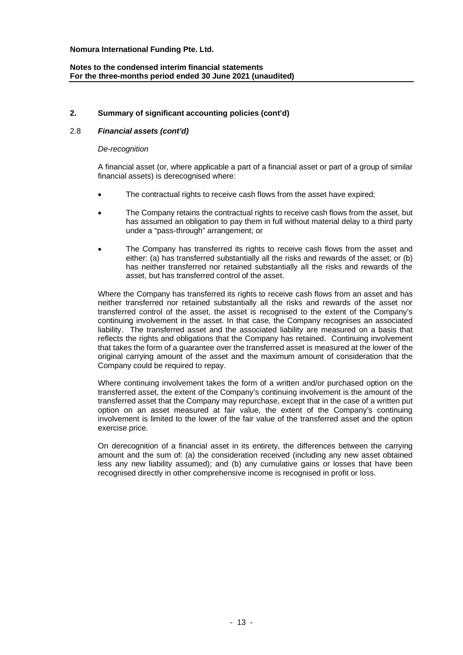# **Notes to the condensed interim financial statements For the three-months period ended 30 June 2021 (unaudited)**

# **2. Summary of significant accounting policies (cont'd)**

# 2.8 *Financial assets (cont'd)*

#### *De-recognition*

A financial asset (or, where applicable a part of a financial asset or part of a group of similar financial assets) is derecognised where:

- The contractual rights to receive cash flows from the asset have expired;
- The Company retains the contractual rights to receive cash flows from the asset, but has assumed an obligation to pay them in full without material delay to a third party under a "pass-through" arrangement; or
- The Company has transferred its rights to receive cash flows from the asset and either: (a) has transferred substantially all the risks and rewards of the asset; or (b) has neither transferred nor retained substantially all the risks and rewards of the asset, but has transferred control of the asset.

Where the Company has transferred its rights to receive cash flows from an asset and has neither transferred nor retained substantially all the risks and rewards of the asset nor transferred control of the asset, the asset is recognised to the extent of the Company's continuing involvement in the asset. In that case, the Company recognises an associated liability. The transferred asset and the associated liability are measured on a basis that reflects the rights and obligations that the Company has retained. Continuing involvement that takes the form of a guarantee over the transferred asset is measured at the lower of the original carrying amount of the asset and the maximum amount of consideration that the Company could be required to repay.

Where continuing involvement takes the form of a written and/or purchased option on the transferred asset, the extent of the Company's continuing involvement is the amount of the transferred asset that the Company may repurchase, except that in the case of a written put option on an asset measured at fair value, the extent of the Company's continuing involvement is limited to the lower of the fair value of the transferred asset and the option exercise price.

On derecognition of a financial asset in its entirety, the differences between the carrying amount and the sum of: (a) the consideration received (including any new asset obtained less any new liability assumed); and (b) any cumulative gains or losses that have been recognised directly in other comprehensive income is recognised in profit or loss.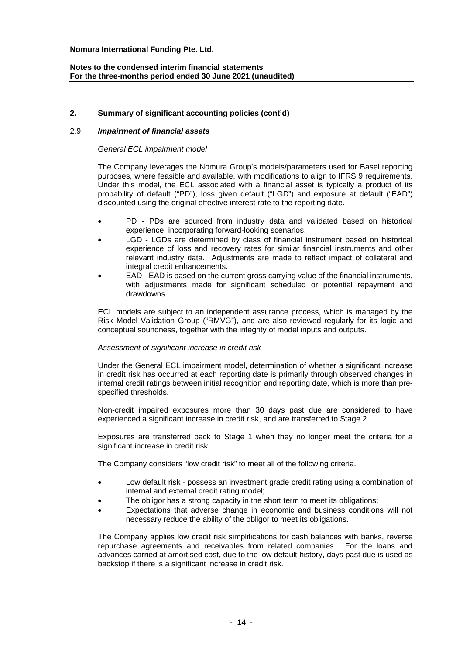# **Notes to the condensed interim financial statements For the three-months period ended 30 June 2021 (unaudited)**

# **2. Summary of significant accounting policies (cont'd)**

## 2.9 *Impairment of financial assets*

#### *General ECL impairment model*

The Company leverages the Nomura Group's models/parameters used for Basel reporting purposes, where feasible and available, with modifications to align to IFRS 9 requirements. Under this model, the ECL associated with a financial asset is typically a product of its probability of default ("PD"), loss given default ("LGD") and exposure at default ("EAD") discounted using the original effective interest rate to the reporting date.

- PD PDs are sourced from industry data and validated based on historical experience, incorporating forward-looking scenarios.
- LGD LGDs are determined by class of financial instrument based on historical experience of loss and recovery rates for similar financial instruments and other relevant industry data. Adjustments are made to reflect impact of collateral and integral credit enhancements.
- EAD EAD is based on the current gross carrying value of the financial instruments, with adjustments made for significant scheduled or potential repayment and drawdowns.

ECL models are subject to an independent assurance process, which is managed by the Risk Model Validation Group ("RMVG"), and are also reviewed regularly for its logic and conceptual soundness, together with the integrity of model inputs and outputs.

#### *Assessment of significant increase in credit risk*

Under the General ECL impairment model, determination of whether a significant increase in credit risk has occurred at each reporting date is primarily through observed changes in internal credit ratings between initial recognition and reporting date, which is more than prespecified thresholds.

Non-credit impaired exposures more than 30 days past due are considered to have experienced a significant increase in credit risk, and are transferred to Stage 2.

Exposures are transferred back to Stage 1 when they no longer meet the criteria for a significant increase in credit risk.

The Company considers "low credit risk" to meet all of the following criteria.

- Low default risk possess an investment grade credit rating using a combination of internal and external credit rating model;
- The obligor has a strong capacity in the short term to meet its obligations;
- Expectations that adverse change in economic and business conditions will not necessary reduce the ability of the obligor to meet its obligations.

The Company applies low credit risk simplifications for cash balances with banks, reverse repurchase agreements and receivables from related companies. For the loans and advances carried at amortised cost, due to the low default history, days past due is used as backstop if there is a significant increase in credit risk.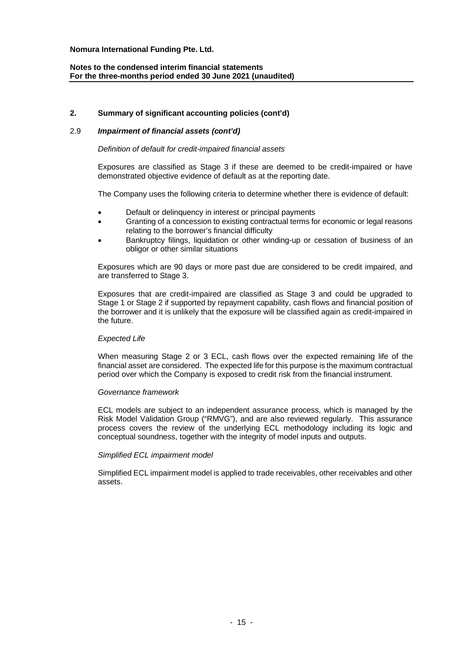# **Notes to the condensed interim financial statements For the three-months period ended 30 June 2021 (unaudited)**

# **2. Summary of significant accounting policies (cont'd)**

# 2.9 *Impairment of financial assets (cont'd)*

*Definition of default for credit-impaired financial assets*

Exposures are classified as Stage 3 if these are deemed to be credit-impaired or have demonstrated objective evidence of default as at the reporting date.

The Company uses the following criteria to determine whether there is evidence of default:

- Default or delinquency in interest or principal payments
- Granting of a concession to existing contractual terms for economic or legal reasons relating to the borrower's financial difficulty
- Bankruptcy filings, liquidation or other winding-up or cessation of business of an obligor or other similar situations

Exposures which are 90 days or more past due are considered to be credit impaired, and are transferred to Stage 3.

Exposures that are credit-impaired are classified as Stage 3 and could be upgraded to Stage 1 or Stage 2 if supported by repayment capability, cash flows and financial position of the borrower and it is unlikely that the exposure will be classified again as credit-impaired in the future.

#### *Expected Life*

When measuring Stage 2 or 3 ECL, cash flows over the expected remaining life of the financial asset are considered. The expected life for this purpose is the maximum contractual period over which the Company is exposed to credit risk from the financial instrument.

#### *Governance framework*

ECL models are subject to an independent assurance process, which is managed by the Risk Model Validation Group ("RMVG"), and are also reviewed regularly. This assurance process covers the review of the underlying ECL methodology including its logic and conceptual soundness, together with the integrity of model inputs and outputs.

#### *Simplified ECL impairment model*

Simplified ECL impairment model is applied to trade receivables, other receivables and other assets.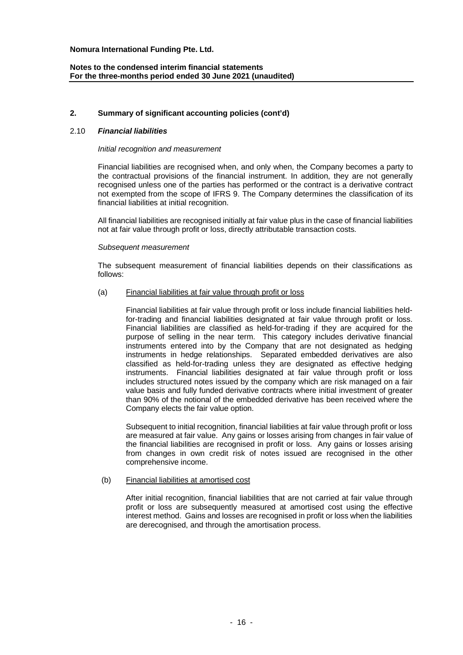# **Notes to the condensed interim financial statements For the three-months period ended 30 June 2021 (unaudited)**

# **2. Summary of significant accounting policies (cont'd)**

#### 2.10 *Financial liabilities*

#### *Initial recognition and measurement*

Financial liabilities are recognised when, and only when, the Company becomes a party to the contractual provisions of the financial instrument. In addition, they are not generally recognised unless one of the parties has performed or the contract is a derivative contract not exempted from the scope of IFRS 9. The Company determines the classification of its financial liabilities at initial recognition.

All financial liabilities are recognised initially at fair value plus in the case of financial liabilities not at fair value through profit or loss, directly attributable transaction costs.

#### *Subsequent measurement*

The subsequent measurement of financial liabilities depends on their classifications as follows:

#### (a) Financial liabilities at fair value through profit or loss

Financial liabilities at fair value through profit or loss include financial liabilities heldfor-trading and financial liabilities designated at fair value through profit or loss. Financial liabilities are classified as held-for-trading if they are acquired for the purpose of selling in the near term. This category includes derivative financial instruments entered into by the Company that are not designated as hedging instruments in hedge relationships. Separated embedded derivatives are also classified as held-for-trading unless they are designated as effective hedging instruments. Financial liabilities designated at fair value through profit or loss includes structured notes issued by the company which are risk managed on a fair value basis and fully funded derivative contracts where initial investment of greater than 90% of the notional of the embedded derivative has been received where the Company elects the fair value option.

Subsequent to initial recognition, financial liabilities at fair value through profit or loss are measured at fair value. Any gains or losses arising from changes in fair value of the financial liabilities are recognised in profit or loss. Any gains or losses arising from changes in own credit risk of notes issued are recognised in the other comprehensive income.

#### (b) Financial liabilities at amortised cost

After initial recognition, financial liabilities that are not carried at fair value through profit or loss are subsequently measured at amortised cost using the effective interest method. Gains and losses are recognised in profit or loss when the liabilities are derecognised, and through the amortisation process.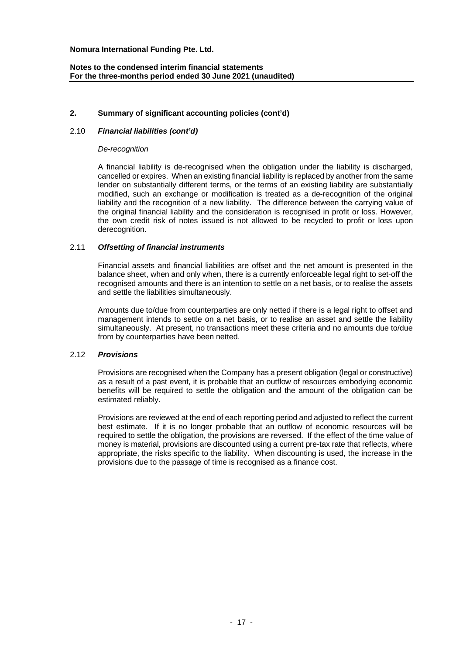# **Notes to the condensed interim financial statements For the three-months period ended 30 June 2021 (unaudited)**

# **2. Summary of significant accounting policies (cont'd)**

# 2.10 *Financial liabilities (cont'd)*

#### *De-recognition*

A financial liability is de-recognised when the obligation under the liability is discharged, cancelled or expires. When an existing financial liability is replaced by another from the same lender on substantially different terms, or the terms of an existing liability are substantially modified, such an exchange or modification is treated as a de-recognition of the original liability and the recognition of a new liability. The difference between the carrying value of the original financial liability and the consideration is recognised in profit or loss. However, the own credit risk of notes issued is not allowed to be recycled to profit or loss upon derecognition.

#### 2.11 *Offsetting of financial instruments*

Financial assets and financial liabilities are offset and the net amount is presented in the balance sheet, when and only when, there is a currently enforceable legal right to set-off the recognised amounts and there is an intention to settle on a net basis, or to realise the assets and settle the liabilities simultaneously.

Amounts due to/due from counterparties are only netted if there is a legal right to offset and management intends to settle on a net basis, or to realise an asset and settle the liability simultaneously. At present, no transactions meet these criteria and no amounts due to/due from by counterparties have been netted.

#### 2.12 *Provisions*

Provisions are recognised when the Company has a present obligation (legal or constructive) as a result of a past event, it is probable that an outflow of resources embodying economic benefits will be required to settle the obligation and the amount of the obligation can be estimated reliably.

Provisions are reviewed at the end of each reporting period and adjusted to reflect the current best estimate. If it is no longer probable that an outflow of economic resources will be required to settle the obligation, the provisions are reversed. If the effect of the time value of money is material, provisions are discounted using a current pre-tax rate that reflects, where appropriate, the risks specific to the liability. When discounting is used, the increase in the provisions due to the passage of time is recognised as a finance cost.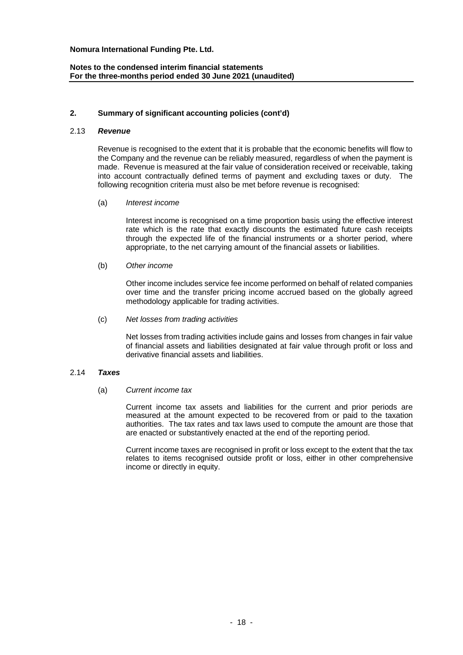# **Notes to the condensed interim financial statements For the three-months period ended 30 June 2021 (unaudited)**

## **2. Summary of significant accounting policies (cont'd)**

#### 2.13 *Revenue*

Revenue is recognised to the extent that it is probable that the economic benefits will flow to the Company and the revenue can be reliably measured, regardless of when the payment is made. Revenue is measured at the fair value of consideration received or receivable, taking into account contractually defined terms of payment and excluding taxes or duty. The following recognition criteria must also be met before revenue is recognised:

(a) *Interest income*

Interest income is recognised on a time proportion basis using the effective interest rate which is the rate that exactly discounts the estimated future cash receipts through the expected life of the financial instruments or a shorter period, where appropriate, to the net carrying amount of the financial assets or liabilities.

#### (b) *Other income*

Other income includes service fee income performed on behalf of related companies over time and the transfer pricing income accrued based on the globally agreed methodology applicable for trading activities.

# (c) *Net losses from trading activities*

Net losses from trading activities include gains and losses from changes in fair value of financial assets and liabilities designated at fair value through profit or loss and derivative financial assets and liabilities.

#### 2.14 *Taxes*

# (a) *Current income tax*

Current income tax assets and liabilities for the current and prior periods are measured at the amount expected to be recovered from or paid to the taxation authorities. The tax rates and tax laws used to compute the amount are those that are enacted or substantively enacted at the end of the reporting period.

Current income taxes are recognised in profit or loss except to the extent that the tax relates to items recognised outside profit or loss, either in other comprehensive income or directly in equity.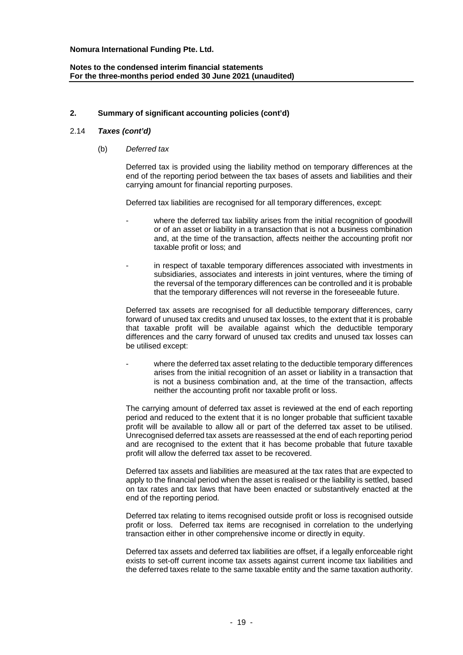# **Notes to the condensed interim financial statements For the three-months period ended 30 June 2021 (unaudited)**

# **2. Summary of significant accounting policies (cont'd)**

## 2.14 *Taxes (cont'd)*

(b) *Deferred tax*

Deferred tax is provided using the liability method on temporary differences at the end of the reporting period between the tax bases of assets and liabilities and their carrying amount for financial reporting purposes.

Deferred tax liabilities are recognised for all temporary differences, except:

- where the deferred tax liability arises from the initial recognition of goodwill or of an asset or liability in a transaction that is not a business combination and, at the time of the transaction, affects neither the accounting profit nor taxable profit or loss; and
- in respect of taxable temporary differences associated with investments in subsidiaries, associates and interests in joint ventures, where the timing of the reversal of the temporary differences can be controlled and it is probable that the temporary differences will not reverse in the foreseeable future.

Deferred tax assets are recognised for all deductible temporary differences, carry forward of unused tax credits and unused tax losses, to the extent that it is probable that taxable profit will be available against which the deductible temporary differences and the carry forward of unused tax credits and unused tax losses can be utilised except:

where the deferred tax asset relating to the deductible temporary differences arises from the initial recognition of an asset or liability in a transaction that is not a business combination and, at the time of the transaction, affects neither the accounting profit nor taxable profit or loss.

The carrying amount of deferred tax asset is reviewed at the end of each reporting period and reduced to the extent that it is no longer probable that sufficient taxable profit will be available to allow all or part of the deferred tax asset to be utilised. Unrecognised deferred tax assets are reassessed at the end of each reporting period and are recognised to the extent that it has become probable that future taxable profit will allow the deferred tax asset to be recovered.

Deferred tax assets and liabilities are measured at the tax rates that are expected to apply to the financial period when the asset is realised or the liability is settled, based on tax rates and tax laws that have been enacted or substantively enacted at the end of the reporting period.

Deferred tax relating to items recognised outside profit or loss is recognised outside profit or loss. Deferred tax items are recognised in correlation to the underlying transaction either in other comprehensive income or directly in equity.

Deferred tax assets and deferred tax liabilities are offset, if a legally enforceable right exists to set-off current income tax assets against current income tax liabilities and the deferred taxes relate to the same taxable entity and the same taxation authority.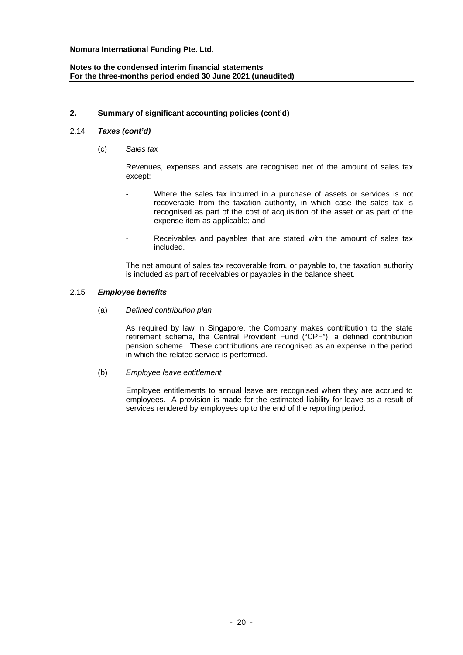# **Notes to the condensed interim financial statements For the three-months period ended 30 June 2021 (unaudited)**

# **2. Summary of significant accounting policies (cont'd)**

# 2.14 *Taxes (cont'd)*

(c) *Sales tax*

Revenues, expenses and assets are recognised net of the amount of sales tax except:

- Where the sales tax incurred in a purchase of assets or services is not recoverable from the taxation authority, in which case the sales tax is recognised as part of the cost of acquisition of the asset or as part of the expense item as applicable; and
- Receivables and payables that are stated with the amount of sales tax included.

The net amount of sales tax recoverable from, or payable to, the taxation authority is included as part of receivables or payables in the balance sheet.

#### 2.15 *Employee benefits*

(a) *Defined contribution plan*

As required by law in Singapore, the Company makes contribution to the state retirement scheme, the Central Provident Fund ("CPF"), a defined contribution pension scheme. These contributions are recognised as an expense in the period in which the related service is performed.

(b) *Employee leave entitlement*

Employee entitlements to annual leave are recognised when they are accrued to employees. A provision is made for the estimated liability for leave as a result of services rendered by employees up to the end of the reporting period.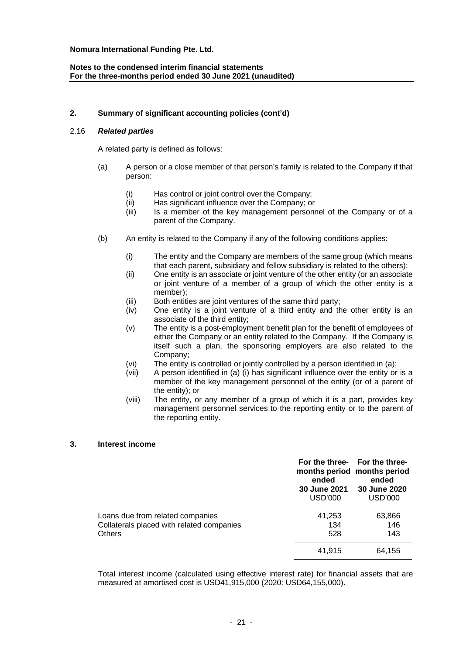# **Notes to the condensed interim financial statements For the three-months period ended 30 June 2021 (unaudited)**

# **2. Summary of significant accounting policies (cont'd)**

# 2.16 *Related parties*

A related party is defined as follows:

- (a) A person or a close member of that person's family is related to the Company if that person:
	- (i) Has control or joint control over the Company;
	- (ii) Has significant influence over the Company; or
	- (iii) Is a member of the key management personnel of the Company or of a parent of the Company.
- (b) An entity is related to the Company if any of the following conditions applies:
	- (i) The entity and the Company are members of the same group (which means that each parent, subsidiary and fellow subsidiary is related to the others);
	- (ii) One entity is an associate or joint venture of the other entity (or an associate or joint venture of a member of a group of which the other entity is a member);
	- (iii) Both entities are joint ventures of the same third party;
	- (iv) One entity is a joint venture of a third entity and the other entity is an associate of the third entity;
	- (v) The entity is a post-employment benefit plan for the benefit of employees of either the Company or an entity related to the Company. If the Company is itself such a plan, the sponsoring employers are also related to the Company;
	- (vi) The entity is controlled or jointly controlled by a person identified in (a);
	- (vii) A person identified in (a) (i) has significant influence over the entity or is a member of the key management personnel of the entity (or of a parent of the entity); or
	- (viii) The entity, or any member of a group of which it is a part, provides key management personnel services to the reporting entity or to the parent of the reporting entity.

#### **3. Interest income**

|                                                                                                | ended<br><b>30 June 2021</b><br>USD'000 | For the three- For the three-<br>months period months period<br>ended<br>30 June 2020<br><b>USD'000</b> |
|------------------------------------------------------------------------------------------------|-----------------------------------------|---------------------------------------------------------------------------------------------------------|
| Loans due from related companies<br>Collaterals placed with related companies<br><b>Others</b> | 41,253<br>134<br>528                    | 63,866<br>146<br>143                                                                                    |
|                                                                                                | 41,915                                  | 64,155                                                                                                  |

Total interest income (calculated using effective interest rate) for financial assets that are measured at amortised cost is USD41,915,000 (2020: USD64,155,000).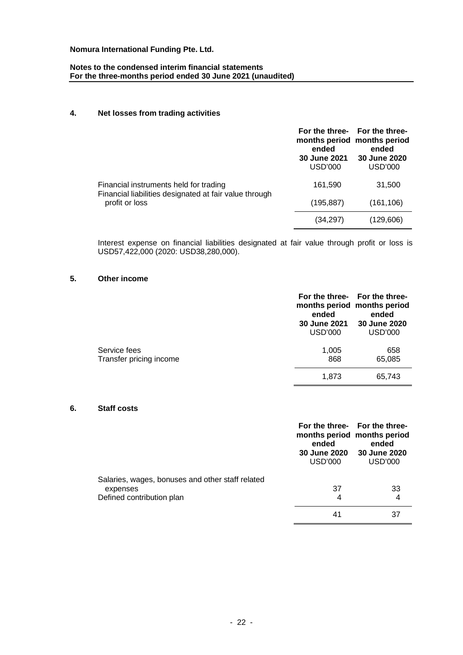# **Notes to the condensed interim financial statements For the three-months period ended 30 June 2021 (unaudited)**

# **4. Net losses from trading activities**

|                                                                                                                    | ended<br>30 June 2021<br><b>USD'000</b> | For the three- For the three-<br>months period months period<br>ended<br>30 June 2020<br><b>USD'000</b> |
|--------------------------------------------------------------------------------------------------------------------|-----------------------------------------|---------------------------------------------------------------------------------------------------------|
| Financial instruments held for trading<br>Financial liabilities designated at fair value through<br>profit or loss | 161.590                                 | 31,500                                                                                                  |
|                                                                                                                    | (195, 887)                              | (161, 106)                                                                                              |
|                                                                                                                    | (34,297)                                | (129,606)                                                                                               |

Interest expense on financial liabilities designated at fair value through profit or loss is USD57,422,000 (2020: USD38,280,000).

# **5. Other income**

|                                         | For the three- For the three-<br>ended<br><b>30 June 2021</b><br>USD'000 | months period months period<br>ended<br><b>30 June 2020</b><br>USD'000 |
|-----------------------------------------|--------------------------------------------------------------------------|------------------------------------------------------------------------|
| Service fees<br>Transfer pricing income | 1,005<br>868                                                             | 658<br>65,085                                                          |
|                                         | 1,873                                                                    | 65,743                                                                 |

#### **6. Staff costs**

|                                                              | ended<br>USD'000 | For the three- For the three-<br>months period months period<br>ended<br>30 June 2020 30 June 2020<br>USD'000 |
|--------------------------------------------------------------|------------------|---------------------------------------------------------------------------------------------------------------|
| Salaries, wages, bonuses and other staff related<br>expenses | 37               | 33                                                                                                            |
| Defined contribution plan                                    | 4<br>41          | 4                                                                                                             |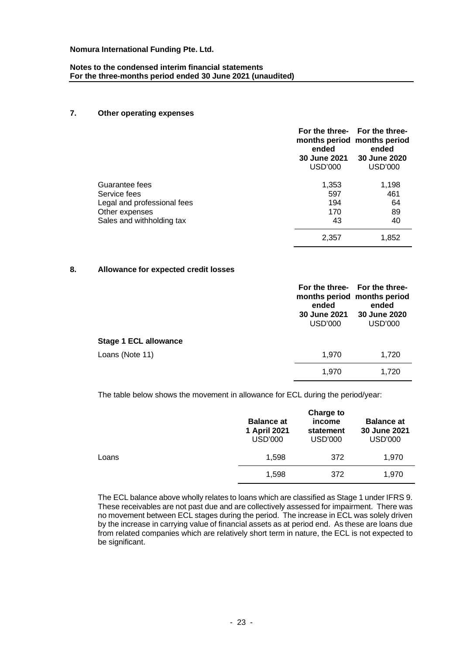# **Notes to the condensed interim financial statements For the three-months period ended 30 June 2021 (unaudited)**

# **7. Other operating expenses**

|                             | ended<br><b>30 June 2021</b><br><b>USD'000</b> | For the three- For the three-<br>months period months period<br>ended<br>30 June 2020<br>USD'000 |
|-----------------------------|------------------------------------------------|--------------------------------------------------------------------------------------------------|
| Guarantee fees              | 1,353                                          | 1,198                                                                                            |
| Service fees                | 597                                            | 461                                                                                              |
| Legal and professional fees | 194                                            | 64                                                                                               |
| Other expenses              | 170                                            | 89                                                                                               |
| Sales and withholding tax   | 43                                             | 40                                                                                               |
|                             | 2.357                                          | 1.852                                                                                            |

# **8. Allowance for expected credit losses**

|                              | months period months period<br>ended<br>30 June 2021<br><b>USD'000</b> | For the three- For the three-<br>ended<br>30 June 2020<br><b>USD'000</b> |
|------------------------------|------------------------------------------------------------------------|--------------------------------------------------------------------------|
| <b>Stage 1 ECL allowance</b> |                                                                        |                                                                          |
| Loans (Note 11)              | 1,970                                                                  | 1,720                                                                    |
|                              | 1,970                                                                  | 1,720                                                                    |

The table below shows the movement in allowance for ECL during the period/year:

|       | <b>Balance at</b><br>1 April 2021<br><b>USD'000</b> | <b>Charge to</b><br>income<br>statement<br>USD'000 | <b>Balance at</b><br>30 June 2021<br><b>USD'000</b> |
|-------|-----------------------------------------------------|----------------------------------------------------|-----------------------------------------------------|
| Loans | 1,598                                               | 372                                                | 1,970                                               |
|       | 1,598                                               | 372                                                | 1.970                                               |

The ECL balance above wholly relates to loans which are classified as Stage 1 under IFRS 9. These receivables are not past due and are collectively assessed for impairment. There was no movement between ECL stages during the period. The increase in ECL was solely driven by the increase in carrying value of financial assets as at period end. As these are loans due from related companies which are relatively short term in nature, the ECL is not expected to be significant.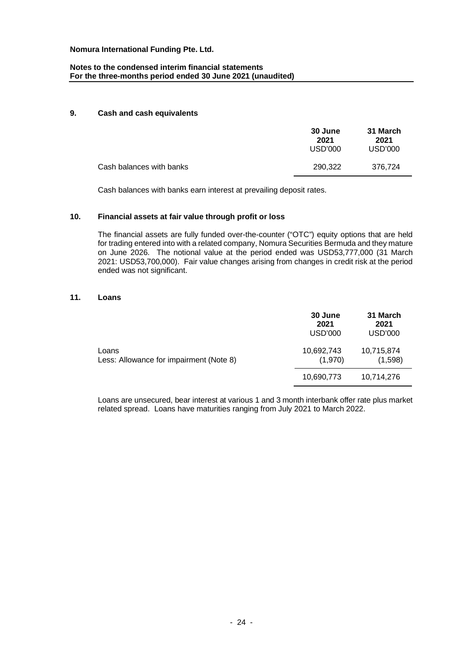# **Notes to the condensed interim financial statements For the three-months period ended 30 June 2021 (unaudited)**

#### **9. Cash and cash equivalents**

|                          | 30 June<br>2021<br>USD'000 | 31 March<br>2021<br>USD'000 |
|--------------------------|----------------------------|-----------------------------|
| Cash balances with banks | 290.322                    | 376.724                     |

Cash balances with banks earn interest at prevailing deposit rates.

# **10. Financial assets at fair value through profit or loss**

The financial assets are fully funded over-the-counter ("OTC") equity options that are held for trading entered into with a related company, Nomura Securities Bermuda and they mature on June 2026. The notional value at the period ended was USD53,777,000 (31 March 2021: USD53,700,000). Fair value changes arising from changes in credit risk at the period ended was not significant.

#### **11. Loans**

|                                                  | 30 June<br>2021<br>USD'000 | 31 March<br>2021<br>USD'000 |
|--------------------------------------------------|----------------------------|-----------------------------|
| Loans<br>Less: Allowance for impairment (Note 8) | 10,692,743<br>(1,970)      | 10,715,874<br>(1,598)       |
|                                                  | 10,690,773                 | 10,714,276                  |

Loans are unsecured, bear interest at various 1 and 3 month interbank offer rate plus market related spread. Loans have maturities ranging from July 2021 to March 2022.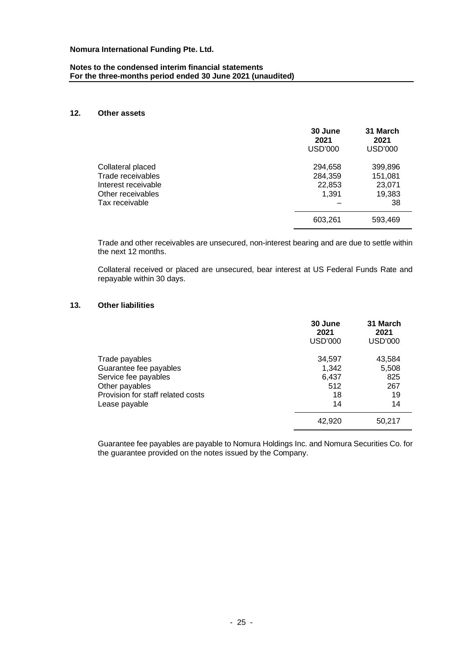## **Notes to the condensed interim financial statements For the three-months period ended 30 June 2021 (unaudited)**

# **12. Other assets**

|                                                                                                      | 30 June<br>2021<br><b>USD'000</b>     | 31 March<br>2021<br><b>USD'000</b>           |
|------------------------------------------------------------------------------------------------------|---------------------------------------|----------------------------------------------|
| Collateral placed<br>Trade receivables<br>Interest receivable<br>Other receivables<br>Tax receivable | 294,658<br>284,359<br>22,853<br>1,391 | 399,896<br>151,081<br>23,071<br>19,383<br>38 |
|                                                                                                      | 603,261                               | 593,469                                      |

Trade and other receivables are unsecured, non-interest bearing and are due to settle within the next 12 months.

Collateral received or placed are unsecured, bear interest at US Federal Funds Rate and repayable within 30 days.

# **13. Other liabilities**

|                                                                                                                                          | 30 June<br>2021<br><b>USD'000</b>           | 31 March<br>2021<br>USD'000               |
|------------------------------------------------------------------------------------------------------------------------------------------|---------------------------------------------|-------------------------------------------|
| Trade payables<br>Guarantee fee payables<br>Service fee payables<br>Other payables<br>Provision for staff related costs<br>Lease payable | 34,597<br>1,342<br>6,437<br>512<br>18<br>14 | 43,584<br>5,508<br>825<br>267<br>19<br>14 |
|                                                                                                                                          | 42,920                                      | 50,217                                    |

Guarantee fee payables are payable to Nomura Holdings Inc. and Nomura Securities Co. for the guarantee provided on the notes issued by the Company.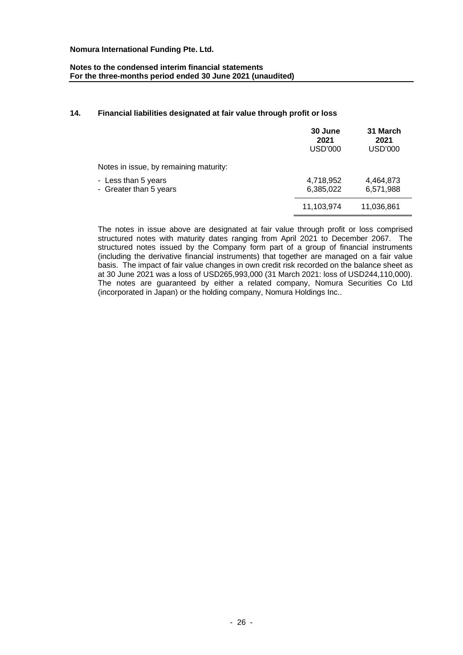# **Notes to the condensed interim financial statements For the three-months period ended 30 June 2021 (unaudited)**

# **14. Financial liabilities designated at fair value through profit or loss**

|                                               | 30 June<br>2021<br><b>USD'000</b> | 31 March<br>2021<br><b>USD'000</b> |
|-----------------------------------------------|-----------------------------------|------------------------------------|
| Notes in issue, by remaining maturity:        |                                   |                                    |
| - Less than 5 years<br>- Greater than 5 years | 4,718,952<br>6,385,022            | 4,464,873<br>6,571,988             |
|                                               | 11,103,974                        | 11,036,861                         |

The notes in issue above are designated at fair value through profit or loss comprised structured notes with maturity dates ranging from April 2021 to December 2067. The structured notes issued by the Company form part of a group of financial instruments (including the derivative financial instruments) that together are managed on a fair value basis. The impact of fair value changes in own credit risk recorded on the balance sheet as at 30 June 2021 was a loss of USD265,993,000 (31 March 2021: loss of USD244,110,000). The notes are guaranteed by either a related company, Nomura Securities Co Ltd (incorporated in Japan) or the holding company, Nomura Holdings Inc..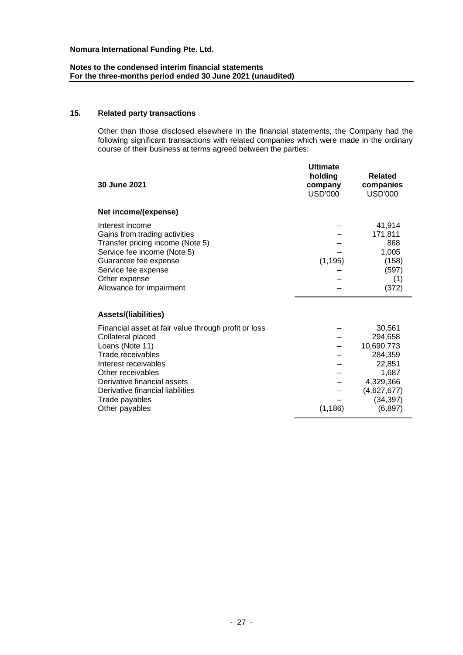# **Notes to the condensed interim financial statements For the three-months period ended 30 June 2021 (unaudited)**

# **15. Related party transactions**

Other than those disclosed elsewhere in the financial statements, the Company had the following significant transactions with related companies which were made in the ordinary course of their business at terms agreed between the parties:

| 30 June 2021                                                                                                                                                                                                                                                          | <b>Ultimate</b><br>holding<br>company<br>USD'000 | <b>Related</b><br>companies<br>USD'000                                                                             |
|-----------------------------------------------------------------------------------------------------------------------------------------------------------------------------------------------------------------------------------------------------------------------|--------------------------------------------------|--------------------------------------------------------------------------------------------------------------------|
| Net income/(expense)                                                                                                                                                                                                                                                  |                                                  |                                                                                                                    |
| Interest income<br>Gains from trading activities<br>Transfer pricing income (Note 5)<br>Service fee income (Note 5)<br>Guarantee fee expense<br>Service fee expense<br>Other expense<br>Allowance for impairment                                                      | (1, 195)                                         | 41,914<br>171,811<br>868<br>1,005<br>(158)<br>(597)<br>(1)<br>(372)                                                |
| <b>Assets/(liabilities)</b>                                                                                                                                                                                                                                           |                                                  |                                                                                                                    |
| Financial asset at fair value through profit or loss<br>Collateral placed<br>Loans (Note 11)<br>Trade receivables<br>Interest receivables<br>Other receivables<br>Derivative financial assets<br>Derivative financial liabilities<br>Trade payables<br>Other payables | (1, 186)                                         | 30,561<br>294,658<br>10,690,773<br>284,359<br>22,851<br>1,687<br>4,329,366<br>(4,627,677)<br>(34, 397)<br>(6, 897) |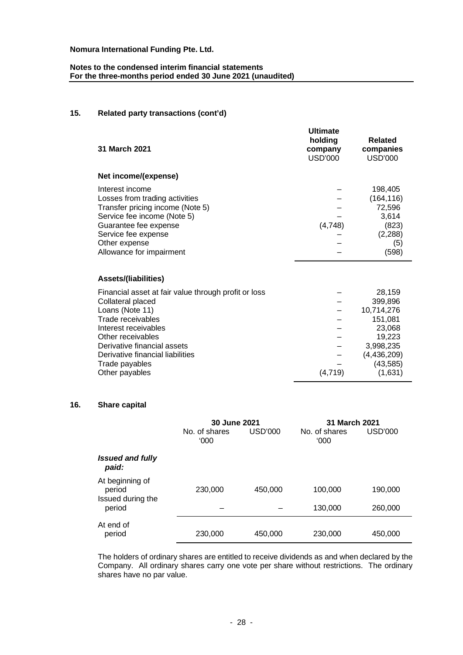# **Notes to the condensed interim financial statements For the three-months period ended 30 June 2021 (unaudited)**

# **15. Related party transactions (cont'd)**

| 31 March 2021                                                                                                                                                                                                                                                         | <b>Ultimate</b><br>holding<br>company<br>USD'000 | Related<br>companies<br><b>USD'000</b>                                                                               |
|-----------------------------------------------------------------------------------------------------------------------------------------------------------------------------------------------------------------------------------------------------------------------|--------------------------------------------------|----------------------------------------------------------------------------------------------------------------------|
| Net income/(expense)                                                                                                                                                                                                                                                  |                                                  |                                                                                                                      |
| Interest income<br>Losses from trading activities<br>Transfer pricing income (Note 5)<br>Service fee income (Note 5)<br>Guarantee fee expense<br>Service fee expense<br>Other expense<br>Allowance for impairment                                                     | (4, 748)                                         | 198,405<br>(164, 116)<br>72,596<br>3,614<br>(823)<br>(2, 288)<br>(5)<br>(598)                                        |
| Assets/(liabilities)                                                                                                                                                                                                                                                  |                                                  |                                                                                                                      |
| Financial asset at fair value through profit or loss<br>Collateral placed<br>Loans (Note 11)<br>Trade receivables<br>Interest receivables<br>Other receivables<br>Derivative financial assets<br>Derivative financial liabilities<br>Trade payables<br>Other payables | (4, 719)                                         | 28,159<br>399,896<br>10,714,276<br>151,081<br>23,068<br>19,223<br>3,998,235<br>(4, 436, 209)<br>(43, 585)<br>(1,631) |
|                                                                                                                                                                                                                                                                       |                                                  |                                                                                                                      |

# **16. Share capital**

|                                                | 30 June 2021          |         | 31 March 2021         |         |
|------------------------------------------------|-----------------------|---------|-----------------------|---------|
|                                                | No. of shares<br>000' | USD'000 | No. of shares<br>000' | USD'000 |
| <b>Issued and fully</b><br>paid:               |                       |         |                       |         |
| At beginning of<br>period<br>Issued during the | 230,000               | 450,000 | 100,000               | 190,000 |
| period                                         |                       |         | 130,000               | 260,000 |
| At end of<br>period                            | 230,000               | 450,000 | 230,000               | 450,000 |

The holders of ordinary shares are entitled to receive dividends as and when declared by the Company. All ordinary shares carry one vote per share without restrictions. The ordinary shares have no par value.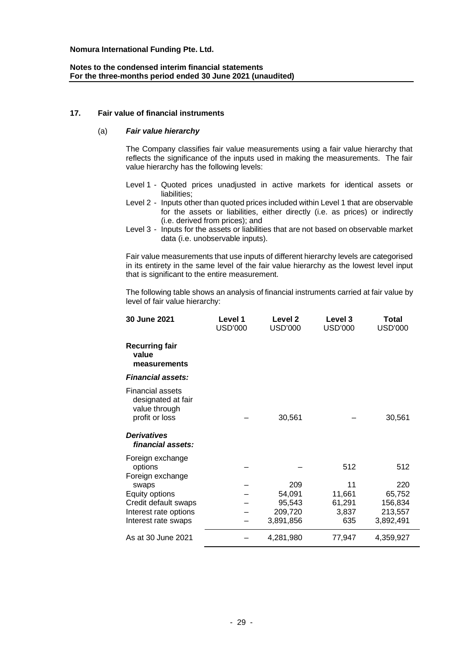# **Notes to the condensed interim financial statements For the three-months period ended 30 June 2021 (unaudited)**

### **17. Fair value of financial instruments**

## (a) *Fair value hierarchy*

The Company classifies fair value measurements using a fair value hierarchy that reflects the significance of the inputs used in making the measurements. The fair value hierarchy has the following levels:

- Level 1 Quoted prices unadjusted in active markets for identical assets or liabilities;
- Level 2 Inputs other than quoted prices included within Level 1 that are observable for the assets or liabilities, either directly (i.e. as prices) or indirectly (i.e. derived from prices); and
- Level 3 Inputs for the assets or liabilities that are not based on observable market data (i.e. unobservable inputs).

Fair value measurements that use inputs of different hierarchy levels are categorised in its entirety in the same level of the fair value hierarchy as the lowest level input that is significant to the entire measurement.

The following table shows an analysis of financial instruments carried at fair value by level of fair value hierarchy:

| 30 June 2021                                                                     | Level 1<br><b>USD'000</b> | Level <sub>2</sub><br><b>USD'000</b> | Level 3<br><b>USD'000</b> | Total<br><b>USD'000</b> |
|----------------------------------------------------------------------------------|---------------------------|--------------------------------------|---------------------------|-------------------------|
| <b>Recurring fair</b><br>value<br>measurements                                   |                           |                                      |                           |                         |
| <b>Financial assets:</b>                                                         |                           |                                      |                           |                         |
| <b>Financial assets</b><br>designated at fair<br>value through<br>profit or loss |                           | 30,561                               |                           | 30,561                  |
| <b>Derivatives</b><br>financial assets:                                          |                           |                                      |                           |                         |
| Foreign exchange<br>options<br>Foreign exchange                                  |                           |                                      | 512                       | 512                     |
| swaps                                                                            |                           | 209                                  | 11                        | 220                     |
| Equity options                                                                   |                           | 54,091                               | 11,661                    | 65,752                  |
| Credit default swaps                                                             |                           | 95,543                               | 61,291                    | 156,834                 |
| Interest rate options                                                            |                           | 209,720                              | 3,837                     | 213,557                 |
| Interest rate swaps                                                              |                           | 3,891,856                            | 635                       | 3,892,491               |
| As at 30 June 2021                                                               |                           | 4,281,980                            | 77,947                    | 4,359,927               |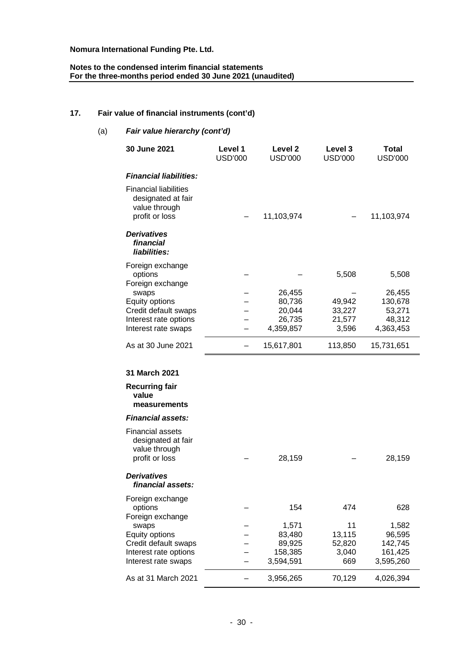# **Notes to the condensed interim financial statements For the three-months period ended 30 June 2021 (unaudited)**

# **17. Fair value of financial instruments (cont'd)**

| (a) | Fair value hierarchy (cont'd)                                                         |                           |                           |                           |                                |
|-----|---------------------------------------------------------------------------------------|---------------------------|---------------------------|---------------------------|--------------------------------|
|     | 30 June 2021                                                                          | Level 1<br><b>USD'000</b> | Level 2<br><b>USD'000</b> | Level 3<br><b>USD'000</b> | <b>Total</b><br><b>USD'000</b> |
|     | <b>Financial liabilities:</b>                                                         |                           |                           |                           |                                |
|     | <b>Financial liabilities</b><br>designated at fair<br>value through<br>profit or loss |                           | 11,103,974                |                           | 11,103,974                     |
|     | <b>Derivatives</b><br>financial<br>liabilities:                                       |                           |                           |                           |                                |
|     | Foreign exchange                                                                      |                           |                           |                           |                                |
|     | options<br>Foreign exchange                                                           |                           |                           | 5,508                     | 5,508                          |
|     | swaps                                                                                 |                           | 26,455                    |                           | 26,455                         |
|     | Equity options                                                                        |                           | 80,736                    | 49,942                    | 130,678                        |
|     | Credit default swaps<br>Interest rate options                                         |                           | 20,044<br>26,735          | 33,227<br>21,577          | 53,271<br>48,312               |
|     | Interest rate swaps                                                                   |                           | 4,359,857                 | 3,596                     | 4,363,453                      |
|     | As at 30 June 2021                                                                    | —                         | 15,617,801                | 113,850                   | 15,731,651                     |
|     | 31 March 2021                                                                         |                           |                           |                           |                                |
|     | <b>Recurring fair</b><br>value<br>measurements                                        |                           |                           |                           |                                |
|     | <b>Financial assets:</b>                                                              |                           |                           |                           |                                |
|     | <b>Financial assets</b><br>designated at fair<br>value through<br>profit or loss      |                           | 28,159                    |                           | 28,159                         |
|     | Derivatives<br>financial assets:                                                      |                           |                           |                           |                                |
|     | Foreign exchange                                                                      |                           |                           |                           |                                |
|     | options<br>Foreign exchange                                                           |                           | 154                       | 474                       | 628                            |
|     | swaps                                                                                 |                           | 1,571                     | 11                        | 1,582                          |
|     | Equity options                                                                        |                           | 83,480                    | 13,115                    | 96,595                         |
|     | Credit default swaps<br>Interest rate options                                         |                           | 89,925<br>158,385         | 52,820<br>3,040           | 142,745<br>161,425             |
|     | Interest rate swaps                                                                   |                           | 3,594,591                 | 669                       | 3,595,260                      |
|     | As at 31 March 2021                                                                   |                           | 3,956,265                 | 70,129                    | 4,026,394                      |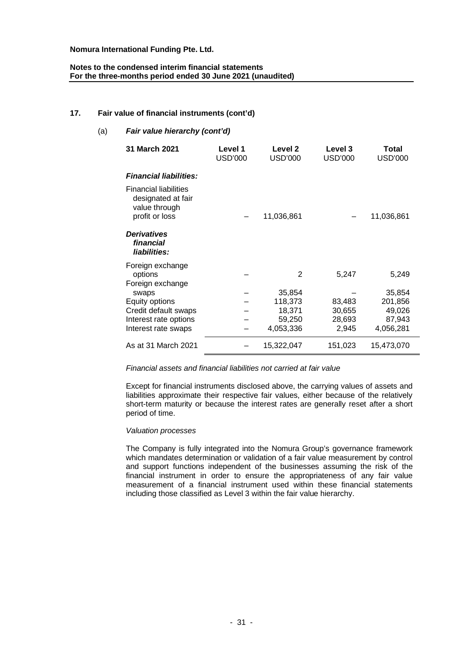# **Notes to the condensed interim financial statements For the three-months period ended 30 June 2021 (unaudited)**

# **17. Fair value of financial instruments (cont'd)**

| Fair value hierarchy (cont'd)<br>(a) |                                                                                       |                           |                           |                           |                         |
|--------------------------------------|---------------------------------------------------------------------------------------|---------------------------|---------------------------|---------------------------|-------------------------|
|                                      | 31 March 2021                                                                         | Level 1<br><b>USD'000</b> | Level 2<br><b>USD'000</b> | Level 3<br><b>USD'000</b> | Total<br><b>USD'000</b> |
|                                      | <b>Financial liabilities:</b>                                                         |                           |                           |                           |                         |
|                                      | <b>Financial liabilities</b><br>designated at fair<br>value through<br>profit or loss |                           | 11,036,861                |                           | 11,036,861              |
|                                      | <b>Derivatives</b><br>financial<br>liabilities:                                       |                           |                           |                           |                         |
|                                      | Foreign exchange<br>options<br>Foreign exchange                                       |                           | 2                         | 5,247                     | 5,249                   |
|                                      | swaps                                                                                 |                           | 35,854                    |                           | 35,854                  |
|                                      | Equity options                                                                        |                           | 118,373                   | 83,483                    | 201,856                 |
|                                      | Credit default swaps                                                                  |                           | 18,371                    | 30,655                    | 49,026                  |
|                                      | Interest rate options                                                                 |                           | 59,250                    | 28,693                    | 87,943                  |
|                                      | Interest rate swaps                                                                   |                           | 4,053,336                 | 2,945                     | 4,056,281               |
|                                      | As at 31 March 2021                                                                   |                           | 15,322,047                | 151,023                   | 15,473,070              |

## *Financial assets and financial liabilities not carried at fair value*

Except for financial instruments disclosed above, the carrying values of assets and liabilities approximate their respective fair values, either because of the relatively short-term maturity or because the interest rates are generally reset after a short period of time.

#### *Valuation processes*

The Company is fully integrated into the Nomura Group's governance framework which mandates determination or validation of a fair value measurement by control and support functions independent of the businesses assuming the risk of the financial instrument in order to ensure the appropriateness of any fair value measurement of a financial instrument used within these financial statements including those classified as Level 3 within the fair value hierarchy.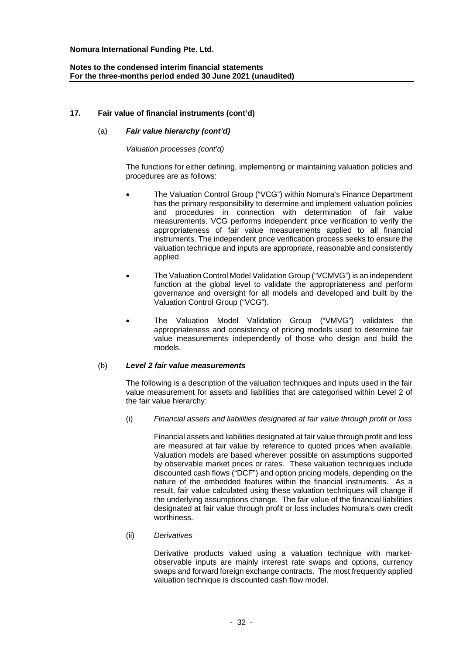# **Notes to the condensed interim financial statements For the three-months period ended 30 June 2021 (unaudited)**

# **17. Fair value of financial instruments (cont'd)**

### (a) *Fair value hierarchy (cont'd)*

#### *Valuation processes (cont'd)*

The functions for either defining, implementing or maintaining valuation policies and procedures are as follows:

- · The Valuation Control Group ("VCG") within Nomura's Finance Department has the primary responsibility to determine and implement valuation policies and procedures in connection with determination of fair value measurements. VCG performs independent price verification to verify the appropriateness of fair value measurements applied to all financial instruments. The independent price verification process seeks to ensure the valuation technique and inputs are appropriate, reasonable and consistently applied.
- · The Valuation Control Model Validation Group ("VCMVG") is an independent function at the global level to validate the appropriateness and perform governance and oversight for all models and developed and built by the Valuation Control Group ("VCG").
- The Valuation Model Validation Group ("VMVG") validates the appropriateness and consistency of pricing models used to determine fair value measurements independently of those who design and build the models.

#### (b) *Level 2 fair value measurements*

The following is a description of the valuation techniques and inputs used in the fair value measurement for assets and liabilities that are categorised within Level 2 of the fair value hierarchy:

(i) *Financial assets and liabilities designated at fair value through profit or loss*

Financial assets and liabilities designated at fair value through profit and loss are measured at fair value by reference to quoted prices when available. Valuation models are based wherever possible on assumptions supported by observable market prices or rates. These valuation techniques include discounted cash flows ("DCF") and option pricing models, depending on the nature of the embedded features within the financial instruments. As a result, fair value calculated using these valuation techniques will change if the underlying assumptions change. The fair value of the financial liabilities designated at fair value through profit or loss includes Nomura's own credit worthiness.

#### (ii) *Derivatives*

Derivative products valued using a valuation technique with marketobservable inputs are mainly interest rate swaps and options, currency swaps and forward foreign exchange contracts. The most frequently applied valuation technique is discounted cash flow model.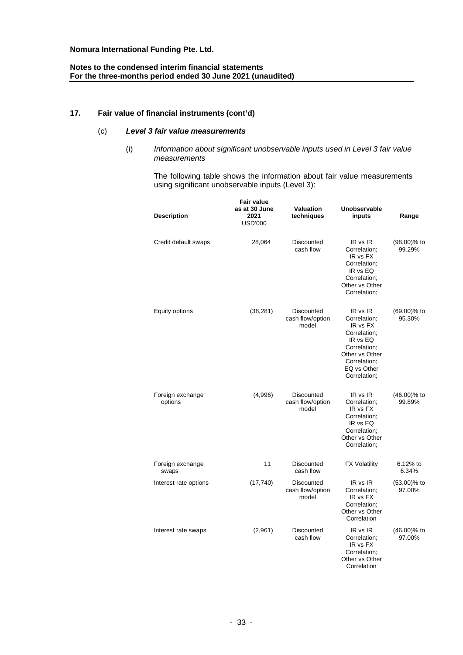# **Notes to the condensed interim financial statements For the three-months period ended 30 June 2021 (unaudited)**

# **17. Fair value of financial instruments (cont'd)**

# (c) *Level 3 fair value measurements*

(i) *Information about significant unobservable inputs used in Level 3 fair value measurements*

The following table shows the information about fair value measurements using significant unobservable inputs (Level 3):

| <b>Description</b>          | Fair value<br>as at 30 June<br>2021<br><b>USD'000</b> | <b>Valuation</b><br>techniques                 | Unobservable<br>inputs                                                                                                                            | Range                    |
|-----------------------------|-------------------------------------------------------|------------------------------------------------|---------------------------------------------------------------------------------------------------------------------------------------------------|--------------------------|
| Credit default swaps        | 28,064                                                | Discounted<br>cash flow                        | IR vs IR<br>Correlation;<br>IR vs FX<br>Correlation:<br>IR vs EQ<br>Correlation;<br>Other vs Other<br>Correlation:                                | $(98.00)\%$ to<br>99.29% |
| Equity options              | (38, 281)                                             | Discounted<br>cash flow/option<br>model        | IR vs IR<br>Correlation;<br>IR vs FX<br>Correlation;<br>IR vs EQ<br>Correlation:<br>Other vs Other<br>Correlation:<br>EQ vs Other<br>Correlation; | $(69.00)$ % to<br>95.30% |
| Foreign exchange<br>options | (4,996)                                               | <b>Discounted</b><br>cash flow/option<br>model | IR vs IR<br>Correlation;<br>IR vs FX<br>Correlation;<br>IR vs EQ<br>Correlation:<br>Other vs Other<br>Correlation;                                | $(46.00)\%$ to<br>99.89% |
| Foreign exchange<br>swaps   | 11                                                    | Discounted<br>cash flow                        | <b>FX Volatility</b>                                                                                                                              | 6.12% to<br>6.34%        |
| Interest rate options       | (17, 740)                                             | Discounted<br>cash flow/option<br>model        | IR vs IR<br>Correlation;<br>IR vs FX<br>Correlation:<br>Other vs Other<br>Correlation                                                             | $(53.00)$ % to<br>97.00% |
| Interest rate swaps         | (2,961)                                               | Discounted<br>cash flow                        | IR vs IR<br>Correlation;<br>IR vs FX<br>Correlation:<br>Other vs Other<br>Correlation                                                             | $(46.00)\%$ to<br>97.00% |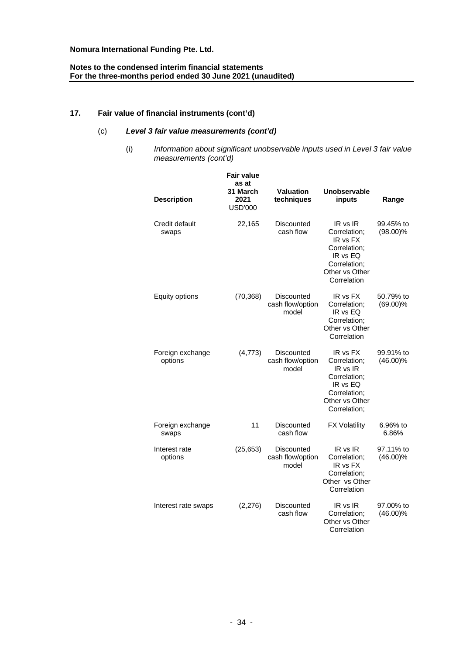# **Notes to the condensed interim financial statements For the three-months period ended 30 June 2021 (unaudited)**

# **17. Fair value of financial instruments (cont'd)**

# (c) *Level 3 fair value measurements (cont'd)*

(i) *Information about significant unobservable inputs used in Level 3 fair value measurements (cont'd)*

| <b>Description</b>          | <b>Fair value</b><br>as at<br>31 March<br>2021<br><b>USD'000</b> | <b>Valuation</b><br>techniques          | <b>Unobservable</b><br>inputs                                                                                      | Range                    |
|-----------------------------|------------------------------------------------------------------|-----------------------------------------|--------------------------------------------------------------------------------------------------------------------|--------------------------|
| Credit default<br>swaps     | 22,165                                                           | <b>Discounted</b><br>cash flow          | IR vs IR<br>Correlation;<br>IR vs FX<br>Correlation;<br>IR vs EQ<br>Correlation;<br>Other vs Other<br>Correlation  | 99.45% to<br>$(98.00)\%$ |
| Equity options              | (70, 368)                                                        | Discounted<br>cash flow/option<br>model | IR vs FX<br>Correlation;<br>IR vs EQ<br>Correlation;<br>Other vs Other<br>Correlation                              | 50.79% to<br>$(69.00)\%$ |
| Foreign exchange<br>options | (4,773)                                                          | Discounted<br>cash flow/option<br>model | IR vs FX<br>Correlation;<br>IR vs IR<br>Correlation:<br>IR vs EQ<br>Correlation;<br>Other vs Other<br>Correlation; | 99.91% to<br>$(46.00)\%$ |
| Foreign exchange<br>swaps   | 11                                                               | Discounted<br>cash flow                 | <b>FX Volatility</b>                                                                                               | 6.96% to<br>6.86%        |
| Interest rate<br>options    | (25, 653)                                                        | Discounted<br>cash flow/option<br>model | IR vs IR<br>Correlation;<br>IR vs FX<br>Correlation;<br>Other vs Other<br>Correlation                              | 97.11% to<br>$(46.00)\%$ |
| Interest rate swaps         | (2,276)                                                          | Discounted<br>cash flow                 | IR vs IR<br>Correlation:<br>Other vs Other<br>Correlation                                                          | 97.00% to<br>$(46.00)\%$ |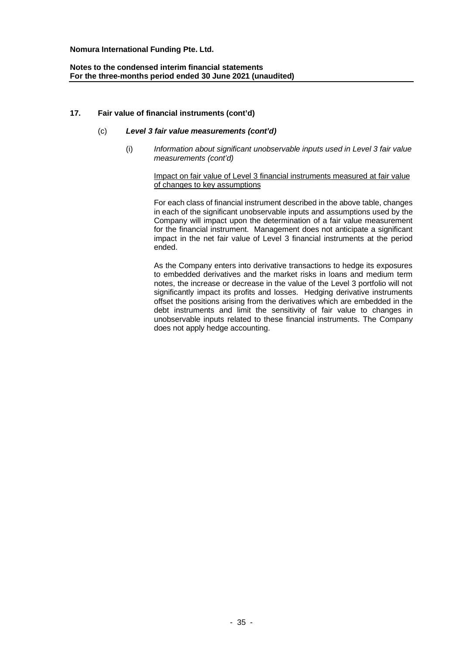# **Notes to the condensed interim financial statements For the three-months period ended 30 June 2021 (unaudited)**

# **17. Fair value of financial instruments (cont'd)**

# (c) *Level 3 fair value measurements (cont'd)*

(i) *Information about significant unobservable inputs used in Level 3 fair value measurements (cont'd)*

## Impact on fair value of Level 3 financial instruments measured at fair value of changes to key assumptions

For each class of financial instrument described in the above table, changes in each of the significant unobservable inputs and assumptions used by the Company will impact upon the determination of a fair value measurement for the financial instrument. Management does not anticipate a significant impact in the net fair value of Level 3 financial instruments at the period ended.

As the Company enters into derivative transactions to hedge its exposures to embedded derivatives and the market risks in loans and medium term notes, the increase or decrease in the value of the Level 3 portfolio will not significantly impact its profits and losses. Hedging derivative instruments offset the positions arising from the derivatives which are embedded in the debt instruments and limit the sensitivity of fair value to changes in unobservable inputs related to these financial instruments. The Company does not apply hedge accounting.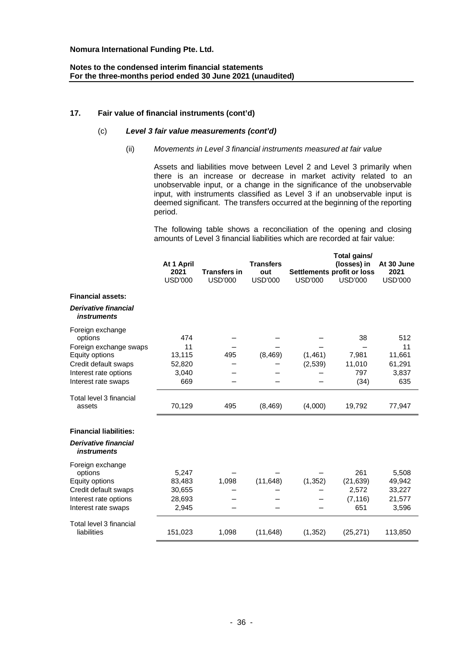# **Notes to the condensed interim financial statements For the three-months period ended 30 June 2021 (unaudited)**

# **17. Fair value of financial instruments (cont'd)**

# (c) *Level 3 fair value measurements (cont'd)*

# (ii) *Movements in Level 3 financial instruments measured at fair value*

Assets and liabilities move between Level 2 and Level 3 primarily when there is an increase or decrease in market activity related to an unobservable input, or a change in the significance of the unobservable input, with instruments classified as Level 3 if an unobservable input is deemed significant. The transfers occurred at the beginning of the reporting period.

The following table shows a reconciliation of the opening and closing amounts of Level 3 financial liabilities which are recorded at fair value:

|                                                   |                |                     |                  | Total gains/   |                            |                |
|---------------------------------------------------|----------------|---------------------|------------------|----------------|----------------------------|----------------|
|                                                   | At 1 April     |                     | <b>Transfers</b> |                | (losses) in                | At 30 June     |
|                                                   | 2021           | <b>Transfers in</b> | out              |                | Settlements profit or loss | 2021           |
|                                                   | <b>USD'000</b> | <b>USD'000</b>      | <b>USD'000</b>   | <b>USD'000</b> | <b>USD'000</b>             | <b>USD'000</b> |
| <b>Financial assets:</b>                          |                |                     |                  |                |                            |                |
| <b>Derivative financial</b><br><i>instruments</i> |                |                     |                  |                |                            |                |
| Foreign exchange<br>options                       | 474            |                     |                  |                | 38                         | 512            |
| Foreign exchange swaps                            | 11             |                     |                  |                |                            | 11             |
| Equity options                                    | 13,115         | 495                 | (8, 469)         | (1,461)        | 7,981                      | 11,661         |
| Credit default swaps                              | 52,820         |                     |                  | (2,539)        | 11,010                     | 61,291         |
| Interest rate options                             | 3,040          |                     |                  |                | 797                        | 3,837          |
| Interest rate swaps                               | 669            |                     |                  |                | (34)                       | 635            |
| Total level 3 financial<br>assets                 | 70,129         | 495                 | (8, 469)         | (4,000)        | 19,792                     | 77,947         |
| <b>Financial liabilities:</b>                     |                |                     |                  |                |                            |                |
| <b>Derivative financial</b><br><i>instruments</i> |                |                     |                  |                |                            |                |
| Foreign exchange                                  |                |                     |                  |                |                            |                |
| options                                           | 5,247          |                     |                  |                | 261                        | 5,508          |
| Equity options                                    | 83,483         | 1,098               | (11, 648)        | (1, 352)       | (21, 639)                  | 49,942         |
| Credit default swaps                              | 30,655         |                     |                  |                | 2,572                      | 33,227         |
| Interest rate options                             | 28,693         |                     |                  |                | (7, 116)                   | 21,577         |
| Interest rate swaps                               | 2,945          |                     |                  |                | 651                        | 3,596          |
| Total level 3 financial                           |                |                     |                  |                |                            |                |
| liabilities                                       | 151,023        | 1,098               | (11,648)         | (1, 352)       | (25, 271)                  | 113,850        |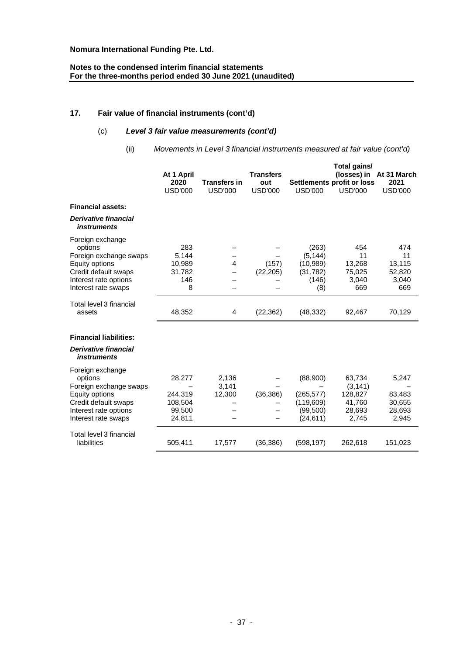# **Notes to the condensed interim financial statements For the three-months period ended 30 June 2021 (unaudited)**

# **17. Fair value of financial instruments (cont'd)**

# (c) *Level 3 fair value measurements (cont'd)*

(ii) *Movements in Level 3 financial instruments measured at fair value (cont'd)*

|                                                                                                                                                 | At 1 April<br>2020<br><b>USD'000</b>             | <b>Transfers in</b><br><b>USD'000</b> | <b>Transfers</b><br>out<br><b>USD'000</b> | <b>USD'000</b>                                                 | Total gains/<br>Settlements profit or loss<br><b>USD'000</b> | (losses) in At 31 March<br>2021<br><b>USD'000</b> |
|-------------------------------------------------------------------------------------------------------------------------------------------------|--------------------------------------------------|---------------------------------------|-------------------------------------------|----------------------------------------------------------------|--------------------------------------------------------------|---------------------------------------------------|
| <b>Financial assets:</b>                                                                                                                        |                                                  |                                       |                                           |                                                                |                                                              |                                                   |
| <b>Derivative financial</b><br><i>instruments</i>                                                                                               |                                                  |                                       |                                           |                                                                |                                                              |                                                   |
| Foreign exchange<br>options<br>Foreign exchange swaps<br>Equity options<br>Credit default swaps<br>Interest rate options<br>Interest rate swaps | 283<br>5,144<br>10,989<br>31,782<br>146<br>8     | $\overline{4}$                        | (157)<br>(22, 205)                        | (263)<br>(5, 144)<br>(10,989)<br>(31, 782)<br>(146)<br>(8)     | 454<br>11<br>13,268<br>75,025<br>3,040<br>669                | 474<br>11<br>13,115<br>52,820<br>3,040<br>669     |
| Total level 3 financial<br>assets                                                                                                               | 48,352                                           | 4                                     | (22, 362)                                 | (48, 332)                                                      | 92,467                                                       | 70,129                                            |
| <b>Financial liabilities:</b>                                                                                                                   |                                                  |                                       |                                           |                                                                |                                                              |                                                   |
| <b>Derivative financial</b><br><i>instruments</i>                                                                                               |                                                  |                                       |                                           |                                                                |                                                              |                                                   |
| Foreign exchange<br>options<br>Foreign exchange swaps<br>Equity options<br>Credit default swaps<br>Interest rate options<br>Interest rate swaps | 28,277<br>244,319<br>108,504<br>99,500<br>24,811 | 2,136<br>3,141<br>12,300              | (36, 386)                                 | (88,900)<br>(265, 577)<br>(119, 609)<br>(99, 500)<br>(24, 611) | 63,734<br>(3, 141)<br>128,827<br>41,760<br>28,693<br>2,745   | 5,247<br>83,483<br>30,655<br>28,693<br>2,945      |
| Total level 3 financial<br>liabilities                                                                                                          | 505,411                                          | 17,577                                | (36, 386)                                 | (598, 197)                                                     | 262,618                                                      | 151,023                                           |